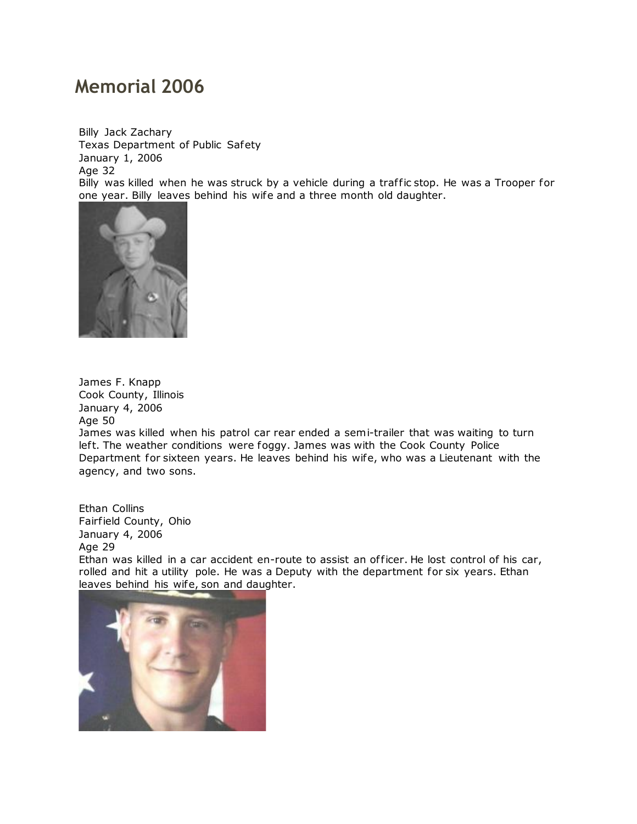## **Memorial 2006**

Billy Jack Zachary Texas Department of Public Safety January 1, 2006 Age 32 Billy was killed when he was struck by a vehicle during a traffic stop. He was a Trooper for one year. Billy leaves behind his wife and a three month old daughter.



James F. Knapp Cook County, Illinois January 4, 2006 Age 50

James was killed when his patrol car rear ended a semi-trailer that was waiting to turn left. The weather conditions were foggy. James was with the Cook County Police Department for sixteen years. He leaves behind his wife, who was a Lieutenant with the agency, and two sons.

Ethan Collins Fairfield County, Ohio January 4, 2006 Age 29

Ethan was killed in a car accident en-route to assist an officer. He lost control of his car, rolled and hit a utility pole. He was a Deputy with the department for six years. Ethan leaves behind his wife, son and daughter.

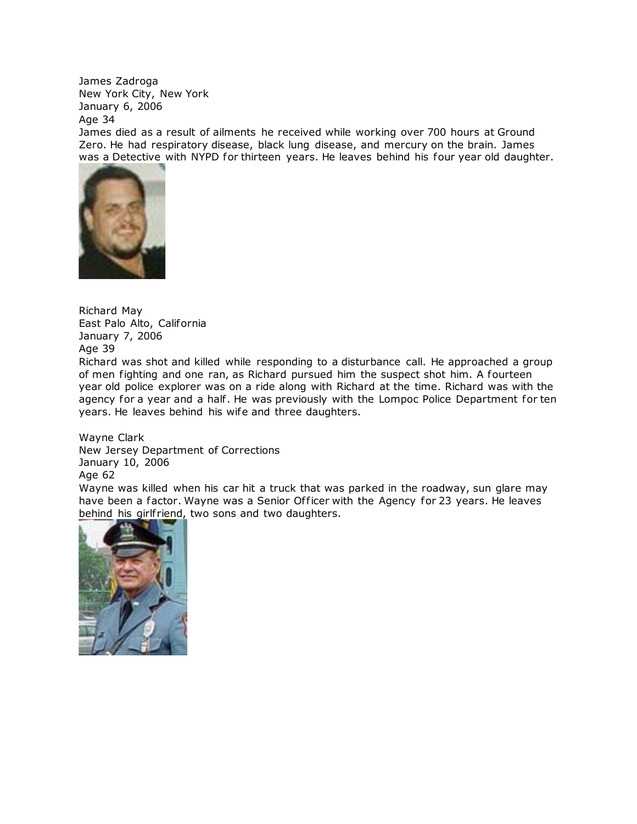James Zadroga New York City, New York January 6, 2006 Age 34

James died as a result of ailments he received while working over 700 hours at Ground Zero. He had respiratory disease, black lung disease, and mercury on the brain. James was a Detective with NYPD for thirteen years. He leaves behind his four year old daughter.



Richard May East Palo Alto, California January 7, 2006 Age 39

Richard was shot and killed while responding to a disturbance call. He approached a group of men fighting and one ran, as Richard pursued him the suspect shot him. A fourteen year old police explorer was on a ride along with Richard at the time. Richard was with the agency for a year and a half. He was previously with the Lompoc Police Department for ten years. He leaves behind his wife and three daughters.

Wayne Clark New Jersey Department of Corrections January 10, 2006 Age 62

Wayne was killed when his car hit a truck that was parked in the roadway, sun glare may have been a factor. Wayne was a Senior Officer with the Agency for 23 years. He leaves behind his girlfriend, two sons and two daughters.

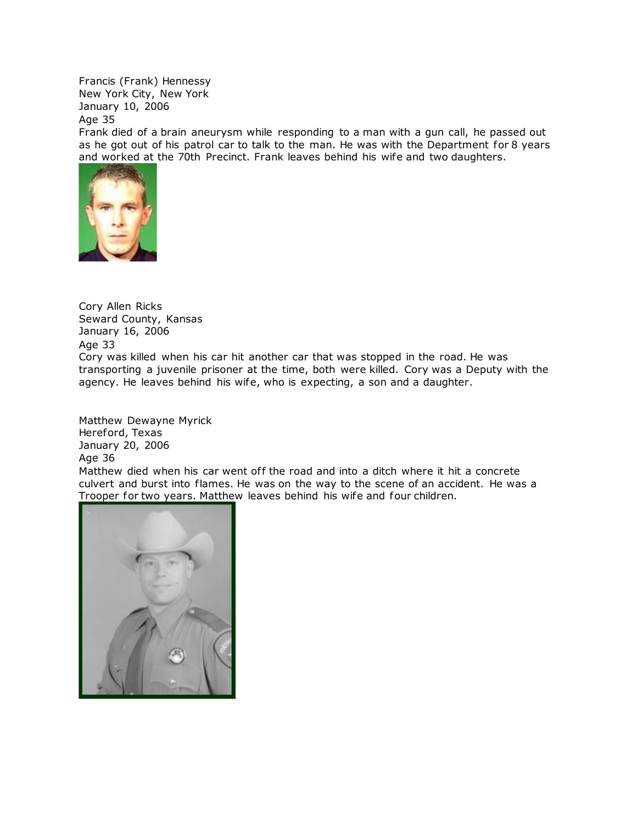Francis (Frank) Hennessy New York City, New York January 10, 2006

Age 35

Frank died of a brain aneurysm while responding to a man with a gun call, he passed out as he got out of his patrol car to talk to the man. He was with the Department for 8 years and worked at the 70th Precinct. Frank leaves behind his wife and two daughters.



Cory Allen Ricks Seward County, Kansas January 16, 2006 Age 33 Cory was killed when his car hit another car that was stopped in the road. He was transporting a juvenile prisoner at the time, both were killed. Cory was a Deputy with the agency. He leaves behind his wife, who is expecting, a son and a daughter.

Matthew Dewayne Myrick Hereford, Texas January 20, 2006 Age 36

Matthew died when his car went off the road and into a ditch where it hit a concrete culvert and burst into flames. He was on the way to the scene of an accident. He was a [Trooper for two years. Matthew](http://www.copadorer.com/memorials/2006.html#thumb) leaves behind his wife and four children.

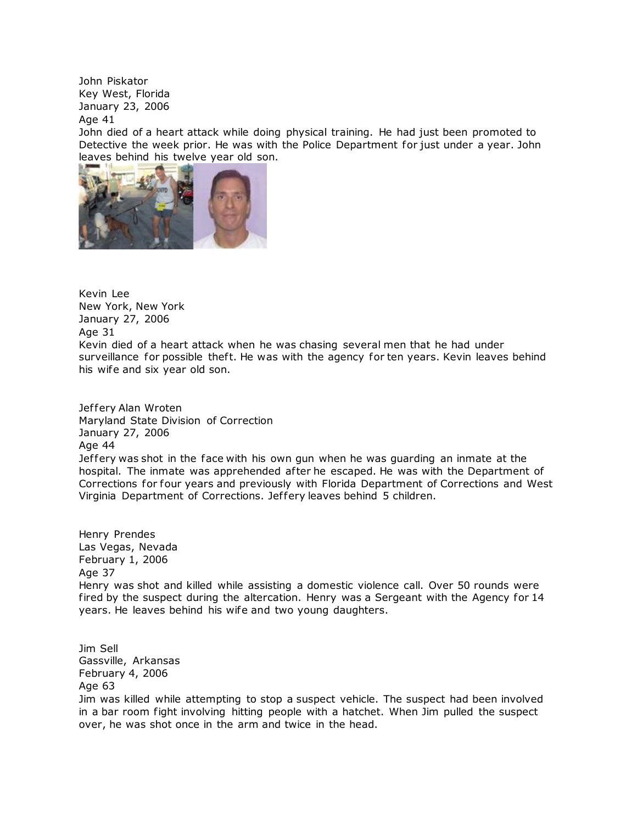John Piskator Key West, Florida January 23, 2006

Age 41

John died of a heart attack while doing physical training. He had just been promoted to Detective the week prior. He was with the Police Department for just under a year. John leaves behind his twelve year old son.



Kevin Lee New York, New York January 27, 2006 Age 31 Kevin died of a heart attack when he was chasing several men that he had under surveillance for possible theft. He was with the agency for ten years. Kevin leaves behind his wife and six year old son.

Jeffery Alan Wroten Maryland State Division of Correction January 27, 2006 Age 44 Jef fery was shot in the face with his own gun when he was guarding an inmate at the hospital. The inmate was apprehended after he escaped. He was with the Department of Corrections for four years and previously with Florida Department of Corrections and West Virginia Department of Corrections. Jef fery leaves behind 5 children.

Henry Prendes Las Vegas, Nevada February 1, 2006 Age 37 Henry was shot and killed while assisting a domestic violence call. Over 50 rounds were fired by the suspect during the altercation. Henry was a Sergeant with the Agency for 14 years. He leaves behind his wife and two young daughters.

Jim Sell Gassville, Arkansas February 4, 2006 Age 63 Jim was killed while attempting to stop a suspect vehicle. The suspect had been involved in a bar room fight involving hitting people with a hatchet. When Jim pulled the suspect over, he was shot once in the arm and twice in the head.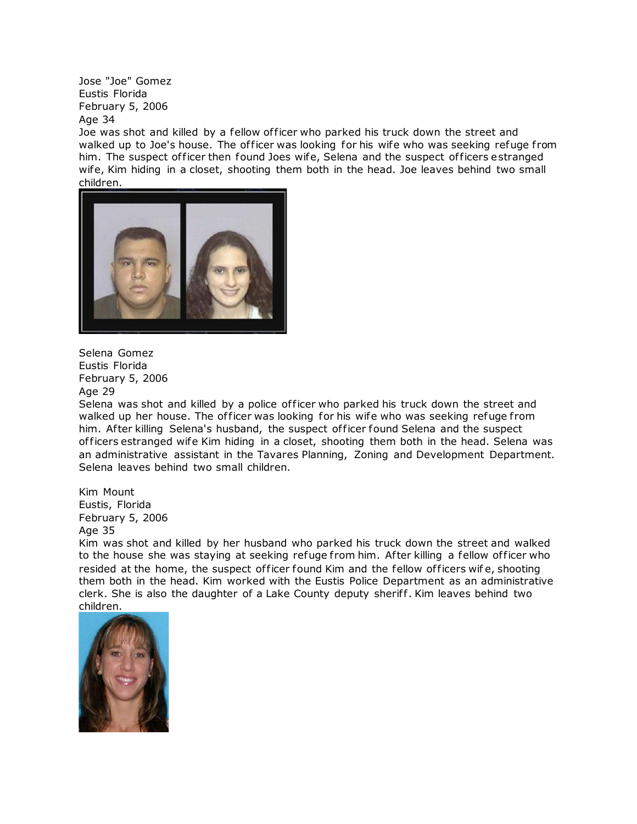Jose "Joe" Gomez Eustis Florida February 5, 2006 Age 34

Joe was shot and killed by a fellow officer who parked his truck down the street and walked up to Joe's house. The officer was looking for his wife who was seeking refuge from him. The suspect of ficer then found Joes wife, Selena and the suspect of ficers estranged wife, Kim hiding in a closet, shooting them both in the head. Joe leaves behind two small [children.](http://www.copadorer.com/memorials/2006.html#thumb)



Selena Gomez Eustis Florida February 5, 2006 Age 29

Selena was shot and killed by a police of ficer who parked his truck down the street and walked up her house. The officer was looking for his wife who was seeking refuge from him. After killing Selena's husband, the suspect officer found Selena and the suspect of ficers estranged wife Kim hiding in a closet, shooting them both in the head. Selena was an administrative assistant in the Tavares Planning, Zoning and Development Department. Selena leaves behind two small children.

Kim Mount Eustis, Florida February 5, 2006 Age 35

Kim was shot and killed by her husband who parked his truck down the street and walked to the house she was staying at seeking refuge from him. After killing a fellow officer who resided at the home, the suspect of ficer found Kim and the fellow of ficers wife, shooting them both in the head. Kim worked with the Eustis Police Department as an administrative clerk. She is also the daughter of a Lake County deputy sheriff. Kim leaves behind two children.

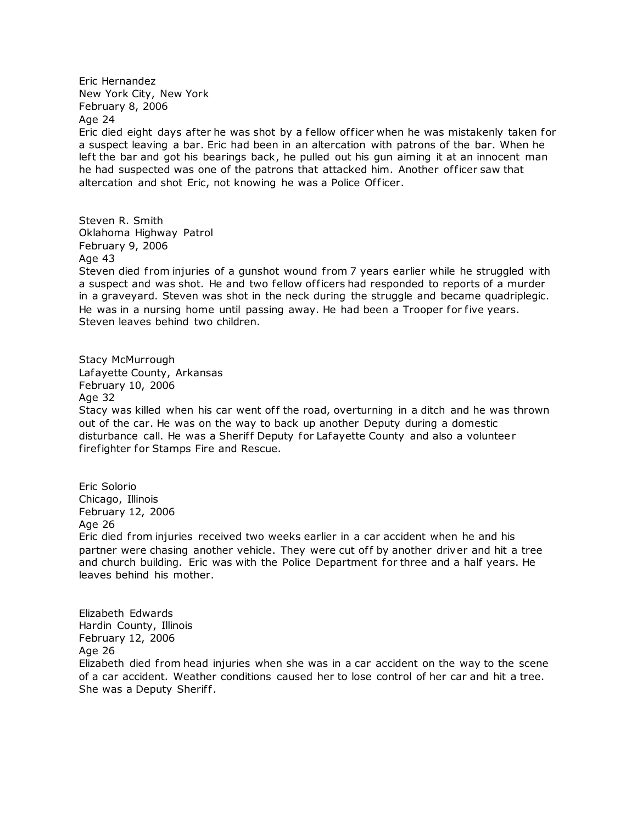Eric Hernandez New York City, New York February 8, 2006 Age 24

Eric died eight days after he was shot by a fellow officer when he was mistakenly taken for a suspect leaving a bar. Eric had been in an altercation with patrons of the bar. When he left the bar and got his bearings back, he pulled out his gun aiming it at an innocent man he had suspected was one of the patrons that attacked him. Another of ficer saw that altercation and shot Eric, not knowing he was a Police Officer.

Steven R. Smith Oklahoma Highway Patrol February 9, 2006 Age 43 Steven died from injuries of a gunshot wound from 7 years earlier while he struggled with a suspect and was shot. He and two fellow officers had responded to reports of a murder in a graveyard. Steven was shot in the neck during the struggle and became quadriplegic. He was in a nursing home until passing away. He had been a Trooper for five years. Steven leaves behind two children.

Stacy McMurrough Lafayette County, Arkansas February 10, 2006 Age 32 Stacy was killed when his car went off the road, overturning in a ditch and he was thrown out of the car. He was on the way to back up another Deputy during a domestic disturbance call. He was a Sherif f Deputy for Lafayette County and also a volunteer firefighter for Stamps Fire and Rescue.

Eric Solorio Chicago, Illinois February 12, 2006 Age 26 Eric died from injuries received two weeks earlier in a car accident when he and his partner were chasing another vehicle. They were cut off by another driver and hit a tree and church building. Eric was with the Police Department for three and a half years. He leaves behind his mother.

Elizabeth Edwards Hardin County, Illinois February 12, 2006 Age 26 Elizabeth died from head injuries when she was in a car accident on the way to the scene of a car accident. Weather conditions caused her to lose control of her car and hit a tree. She was a Deputy Sheriff.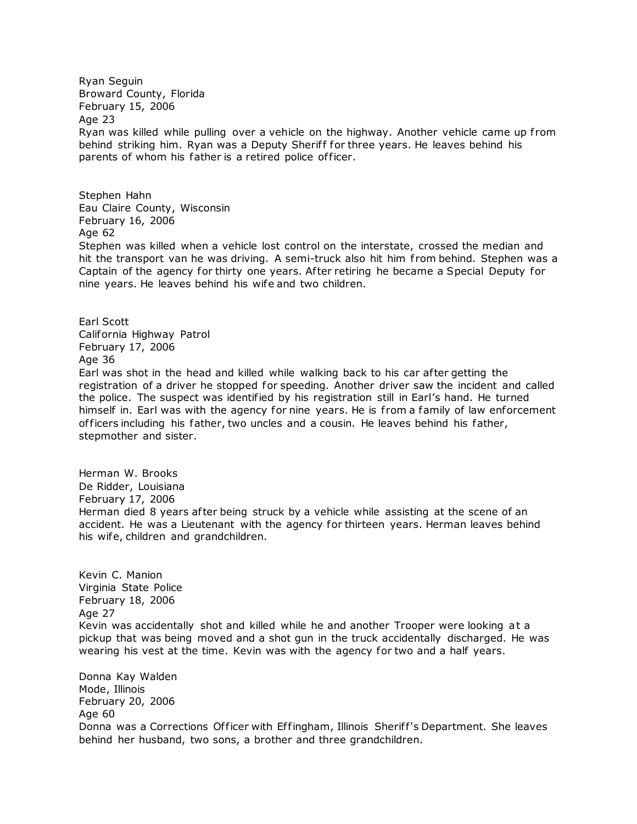Ryan Seguin Broward County, Florida February 15, 2006 Age 23 Ryan was killed while pulling over a vehicle on the highway. Another vehicle came up from behind striking him. Ryan was a Deputy Sheriff for three years. He leaves behind his parents of whom his father is a retired police officer.

Stephen Hahn Eau Claire County, Wisconsin February 16, 2006 Age 62

Stephen was killed when a vehicle lost control on the interstate, crossed the median and hit the transport van he was driving. A semi-truck also hit him from behind. Stephen was a Captain of the agency for thirty one years. Af ter retiring he became a Special Deputy for nine years. He leaves behind his wife and two children.

Earl Scott California Highway Patrol February 17, 2006 Age 36

Earl was shot in the head and killed while walking back to his car af ter getting the registration of a driver he stopped for speeding. Another driver saw the incident and called the police. The suspect was identified by his registration still in Earl's hand. He turned himself in. Earl was with the agency for nine years. He is from a family of law enforcement of ficers including his father, two uncles and a cousin. He leaves behind his father, stepmother and sister.

Herman W. Brooks De Ridder, Louisiana February 17, 2006 Herman died 8 years after being struck by a vehicle while assisting at the scene of an accident. He was a Lieutenant with the agency for thirteen years. Herman leaves behind his wife, children and grandchildren.

Kevin C. Manion Virginia State Police February 18, 2006 Age 27 Kevin was accidentally shot and killed while he and another Trooper were looking at a pickup that was being moved and a shot gun in the truck accidentally discharged. He was wearing his vest at the time. Kevin was with the agency for two and a half years.

Donna Kay Walden Mode, Illinois February 20, 2006 Age 60 Donna was a Corrections Officer with Effingham, Illinois Sheriff's Department. She leaves behind her husband, two sons, a brother and three grandchildren.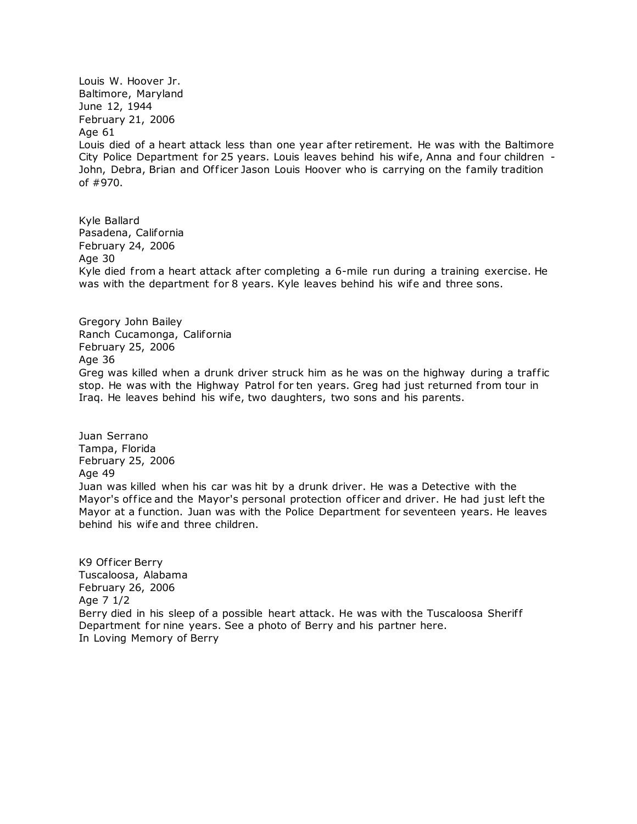Louis W. Hoover Jr. Baltimore, Maryland June 12, 1944 February 21, 2006 Age 61 Louis died of a heart attack less than one year after retirement. He was with the Baltimore City Police Department for 25 years. Louis leaves behind his wife, Anna and four children - John, Debra, Brian and Officer Jason Louis Hoover who is carrying on the family tradition of #970.

Kyle Ballard Pasadena, California February 24, 2006 Age 30 Kyle died from a heart attack after completing a 6-mile run during a training exercise. He was with the department for 8 years. Kyle leaves behind his wife and three sons.

Gregory John Bailey Ranch Cucamonga, California February 25, 2006 Age 36 Greg was killed when a drunk driver struck him as he was on the highway during a traf fic stop. He was with the Highway Patrol for ten years. Greg had just returned from tour in Iraq. He leaves behind his wife, two daughters, two sons and his parents.

Juan Serrano Tampa, Florida February 25, 2006 Age 49 Juan was killed when his car was hit by a drunk driver. He was a Detective with the Mayor's office and the Mayor's personal protection officer and driver. He had just left the Mayor at a function. Juan was with the Police Department for seventeen years. He leaves behind his wife and three children.

K9 Officer Berry Tuscaloosa, Alabama February 26, 2006 Age 7 1/2 Berry died in his sleep of a possible heart attack. He was with the Tuscaloosa Sheriff Department for nine years. See a photo of Berry and his partner here. [In Loving Memory of Berry](http://www.copadorer.com/memorials/berry.htm)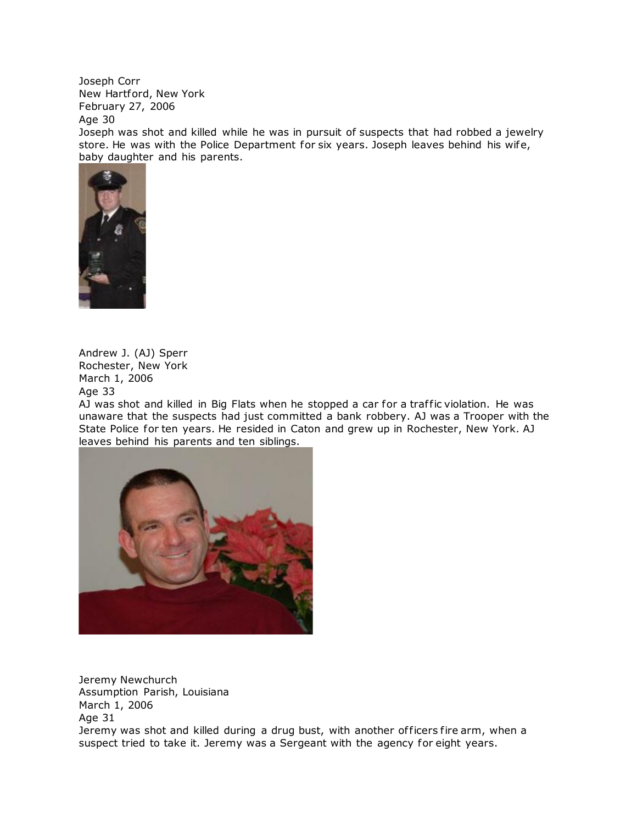Joseph Corr New Hartford, New York February 27, 2006

Age 30

Joseph was shot and killed while he was in pursuit of suspects that had robbed a jewelry store. He was with the Police Department for six years. Joseph leaves behind his wife, baby daughter and his parents.



Andrew J. (AJ) Sperr Rochester, New York March 1, 2006 Age 33

AJ was shot and killed in Big Flats when he stopped a car for a traffic violation. He was unaware that the suspects had just committed a bank robbery. AJ was a Trooper with the State Police for ten years. He resided in Caton and grew up in Rochester, New York. AJ leaves behind his parents and ten siblings.



Jeremy Newchurch Assumption Parish, Louisiana March 1, 2006 Age 31 Jeremy was shot and killed during a drug bust, with another officers fire arm, when a suspect tried to take it. Jeremy was a Sergeant with the agency for eight years.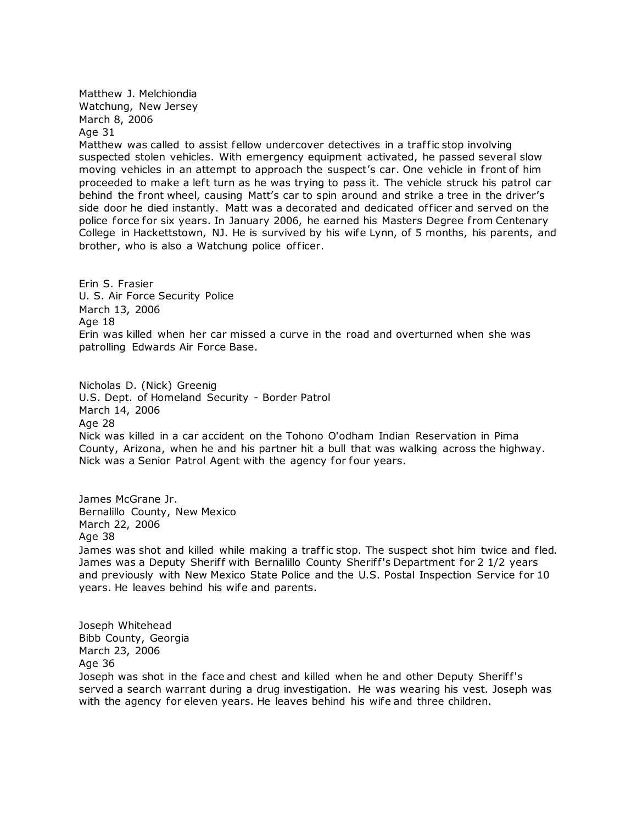Matthew J. Melchiondia Watchung, New Jersey March 8, 2006 Age 31

Matthew was called to assist fellow undercover detectives in a traffic stop involving suspected stolen vehicles. With emergency equipment activated, he passed several slow moving vehicles in an attempt to approach the suspect's car. One vehicle in front of him proceeded to make a left turn as he was trying to pass it. The vehicle struck his patrol car behind the front wheel, causing Matt's car to spin around and strike a tree in the driver's side door he died instantly. Matt was a decorated and dedicated of ficer and served on the police force for six years. In January 2006, he earned his Masters Degree from Centenary College in Hackettstown, NJ. He is survived by his wife Lynn, of 5 months, his parents, and brother, who is also a Watchung police officer.

Erin S. Frasier U. S. Air Force Security Police March 13, 2006 Age 18 Erin was killed when her car missed a curve in the road and overturned when she was patrolling Edwards Air Force Base.

Nicholas D. (Nick) Greenig U.S. Dept. of Homeland Security - Border Patrol March 14, 2006 Age 28 Nick was killed in a car accident on the Tohono O'odham Indian Reservation in Pima County, Arizona, when he and his partner hit a bull that was walking across the highway. Nick was a Senior Patrol Agent with the agency for four years.

James McGrane Jr. Bernalillo County, New Mexico March 22, 2006 Age 38 James was shot and killed while making a traffic stop. The suspect shot him twice and fled. James was a Deputy Sheriff with Bernalillo County Sheriff's Department for 2 1/2 years and previously with New Mexico State Police and the U.S. Postal Inspection Service for 10 years. He leaves behind his wife and parents.

Joseph Whitehead Bibb County, Georgia March 23, 2006 Age 36

Joseph was shot in the face and chest and killed when he and other Deputy Sheriff's served a search warrant during a drug investigation. He was wearing his vest. Joseph was with the agency for eleven years. He leaves behind his wife and three children.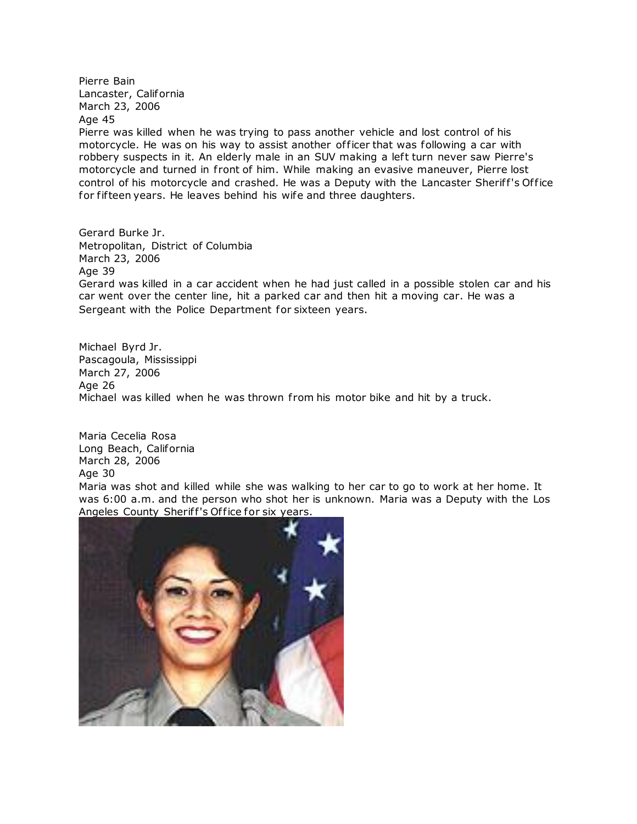Pierre Bain Lancaster, California March 23, 2006 Age 45

Pierre was killed when he was trying to pass another vehicle and lost control of his motorcycle. He was on his way to assist another of ficer that was following a car with robbery suspects in it. An elderly male in an SUV making a left turn never saw Pierre's motorcycle and turned in front of him. While making an evasive maneuver, Pierre lost control of his motorcycle and crashed. He was a Deputy with the Lancaster Sheriff's Office for fifteen years. He leaves behind his wife and three daughters.

Gerard Burke Jr. Metropolitan, District of Columbia March 23, 2006 Age 39 Gerard was killed in a car accident when he had just called in a possible stolen car and his car went over the center line, hit a parked car and then hit a moving car. He was a Sergeant with the Police Department for sixteen years.

Michael Byrd Jr. Pascagoula, Mississippi March 27, 2006 Age 26 Michael was killed when he was thrown from his motor bike and hit by a truck.

Maria Cecelia Rosa Long Beach, California March 28, 2006 Age 30 Maria was shot and killed while she was walking to her car to go to work at her home. It was 6:00 a.m. and the person who shot her is unknown. Maria was a Deputy with the Los Angeles County Sheriff's Office for six years.

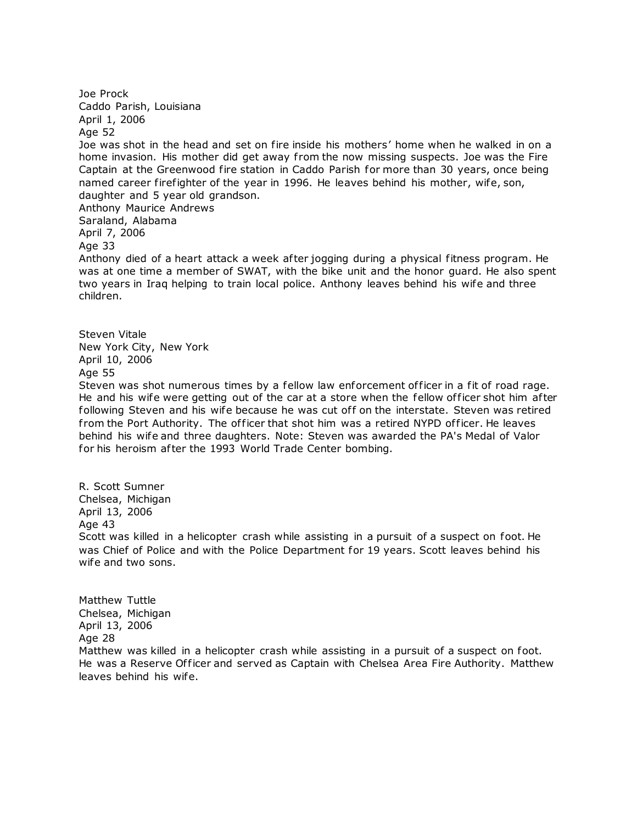Joe Prock Caddo Parish, Louisiana April 1, 2006 Age 52 Joe was shot in the head and set on fire inside his mothers' home when he walked in on a home invasion. His mother did get away from the now missing suspects. Joe was the Fire Captain at the Greenwood fire station in Caddo Parish for more than 30 years, once being named career firefighter of the year in 1996. He leaves behind his mother, wife, son, daughter and 5 year old grandson. Anthony Maurice Andrews Saraland, Alabama April 7, 2006 Age 33 Anthony died of a heart attack a week after jogging during a physical fitness program. He was at one time a member of SWAT, with the bike unit and the honor guard. He also spent two years in Iraq helping to train local police. Anthony leaves behind his wife and three children. Steven Vitale New York City, New York April 10, 2006

Age 55

Steven was shot numerous times by a fellow law enforcement of ficer in a fit of road rage. He and his wife were getting out of the car at a store when the fellow officer shot him after following Steven and his wife because he was cut off on the interstate. Steven was retired from the Port Authority. The officer that shot him was a retired NYPD officer. He leaves behind his wife and three daughters. Note: Steven was awarded the PA's Medal of Valor for his heroism after the 1993 World Trade Center bombing.

R. Scott Sumner Chelsea, Michigan April 13, 2006 Age 43 Scott was killed in a helicopter crash while assisting in a pursuit of a suspect on foot. He was Chief of Police and with the Police Department for 19 years. Scott leaves behind his wife and two sons.

Matthew Tuttle Chelsea, Michigan April 13, 2006 Age 28 Matthew was killed in a helicopter crash while assisting in a pursuit of a suspect on foot. He was a Reserve Officer and served as Captain with Chelsea Area Fire Authority. Matthew leaves behind his wife.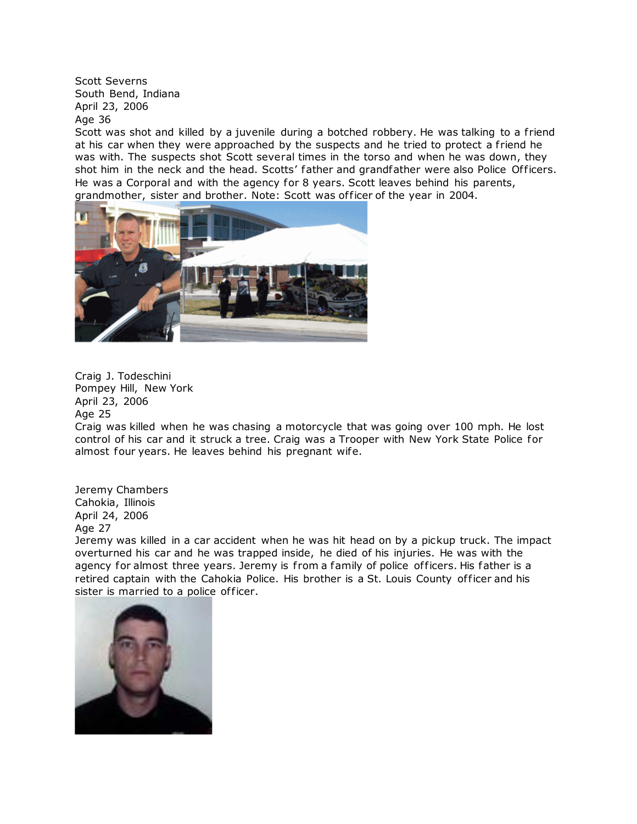Scott Severns South Bend, Indiana April 23, 2006 Age 36

Scott was shot and killed by a juvenile during a botched robbery. He was talking to a friend at his car when they were approached by the suspects and he tried to protect a friend he was with. The suspects shot Scott several times in the torso and when he was down, they shot him in the neck and the head. Scotts' father and grandfather were also Police Officers. He was a Corporal and with the agency for 8 years. Scott leaves behind his parents, grandmother, sister and brother. Note: Scott was of ficer of the year in 2004.



Craig J. Todeschini Pompey Hill, New York April 23, 2006 Age 25

Craig was killed when he was chasing a motorcycle that was going over 100 mph. He lost control of his car and it struck a tree. Craig was a Trooper with New York State Police for almost four years. He leaves behind his pregnant wife.

Jeremy Chambers Cahokia, Illinois April 24, 2006 Age 27

Jeremy was killed in a car accident when he was hit head on by a pickup truck. The impact overturned his car and he was trapped inside, he died of his injuries. He was with the agency for almost three years. Jeremy is from a family of police officers. His father is a retired captain with the Cahokia Police. His brother is a St. Louis County of ficer and his sister is married to a police officer.

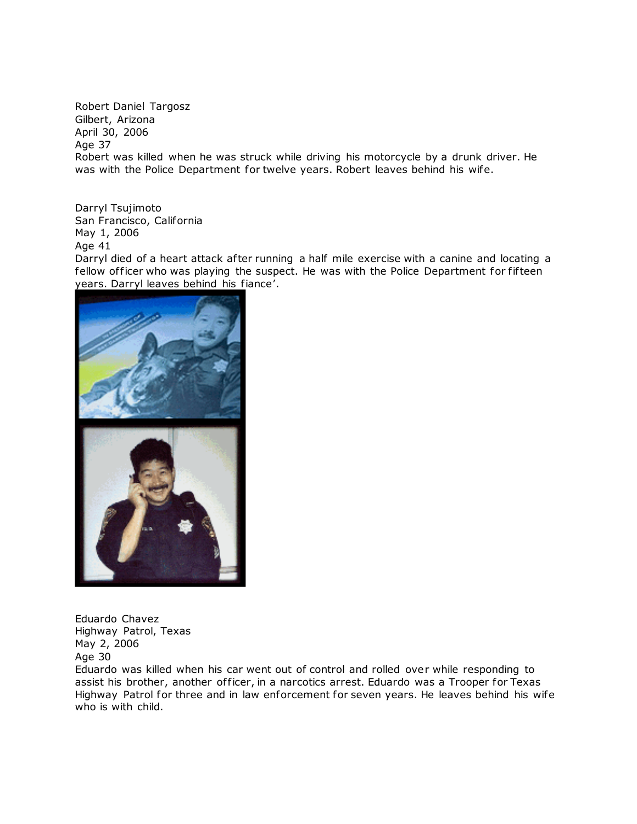Robert Daniel Targosz Gilbert, Arizona April 30, 2006 Age 37 Robert was killed when he was struck while driving his motorcycle by a drunk driver. He was with the Police Department for twelve years. Robert leaves behind his wife.

Darryl Tsujimoto San Francisco, California May 1, 2006 Age 41

Darryl died of a heart attack after running a half mile exercise with a canine and locating a fellow officer who was playing the suspect. He was with the Police Department for fifteen years. Darryl leaves behind his fiance'.



Eduardo Chavez Highway Patrol, Texas May 2, 2006 Age 30

Eduardo was killed when his car went out of control and rolled over while responding to assist his brother, another officer, in a narcotics arrest. Eduardo was a Trooper for Texas Highway Patrol for three and in law enforcement for seven years. He leaves behind his wife who is with child.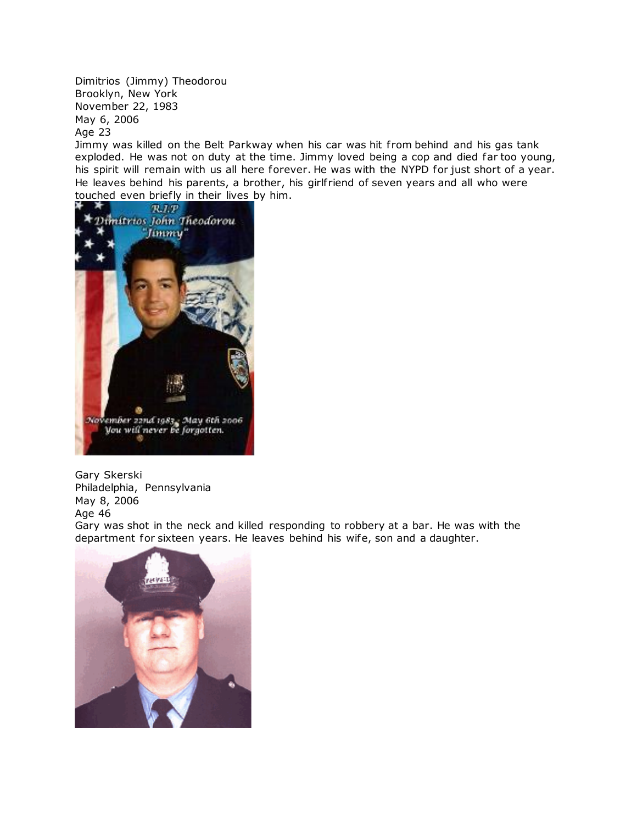Dimitrios (Jimmy) Theodorou Brooklyn, New York November 22, 1983 May 6, 2006 Age 23

Jimmy was killed on the Belt Parkway when his car was hit from behind and his gas tank exploded. He was not on duty at the time. Jimmy loved being a cop and died far too young, his spirit will remain with us all here forever. He was with the NYPD for just short of a year. He leaves behind his parents, a brother, his girlfriend of seven years and all who were touched even briefly in their lives by him.



Gary Skerski Philadelphia, Pennsylvania May 8, 2006 Age 46

Gary was shot in the neck and killed responding to robbery at a bar. He was with the department for sixteen years. He leaves behind his wife, son and a daughter.

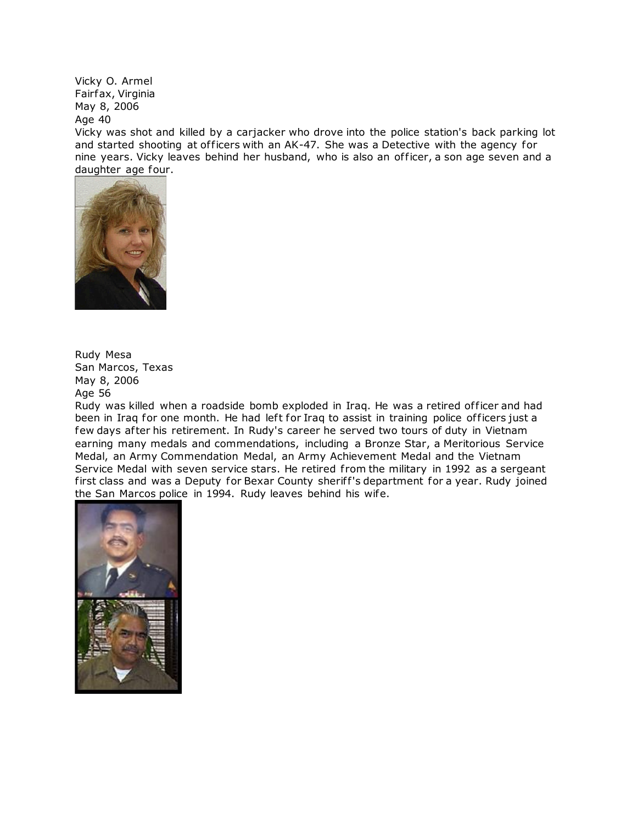Vicky O. Armel Fairfax, Virginia May 8, 2006 Age 40

Vicky was shot and killed by a carjacker who drove into the police station's back parking lot and started shooting at officers with an AK-47. She was a Detective with the agency for nine years. Vicky leaves behind her husband, who is also an of ficer, a son age seven and a daughter age four.



Rudy Mesa San Marcos, Texas May 8, 2006 Age 56

Rudy was killed when a roadside bomb exploded in Iraq. He was a retired of ficer and had been in Iraq for one month. He had left for Iraq to assist in training police officers just a few days after his retirement. In Rudy's career he served two tours of duty in Vietnam earning many medals and commendations, including a Bronze Star, a Meritorious Service Medal, an Army Commendation Medal, an Army Achievement Medal and the Vietnam Service Medal with seven service stars. He retired from the military in 1992 as a sergeant first class and was a Deputy for Bexar County sheriff's department for a year. Rudy joined the San Marcos police in 1994. Rudy leaves behind his wife.

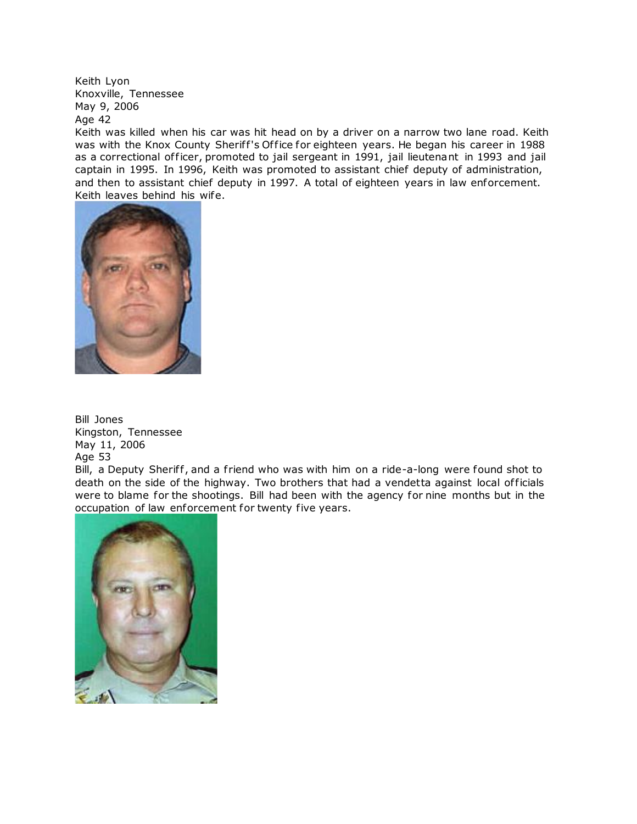Keith Lyon Knoxville, Tennessee May 9, 2006 Age 42

Keith was killed when his car was hit head on by a driver on a narrow two lane road. Keith was with the Knox County Sheriff's Office for eighteen years. He began his career in 1988 as a correctional officer, promoted to jail sergeant in 1991, jail lieutenant in 1993 and jail captain in 1995. In 1996, Keith was promoted to assistant chief deputy of administration, and then to assistant chief deputy in 1997. A total of eighteen years in law enforcement. Keith leaves behind his wife.



Bill Jones Kingston, Tennessee May 11, 2006 Age 53

Bill, a Deputy Sheriff, and a friend who was with him on a ride-a-long were found shot to death on the side of the highway. Two brothers that had a vendetta against local of ficials were to blame for the shootings. Bill had been with the agency for nine months but in the occupation of law enforcement for twenty five years.

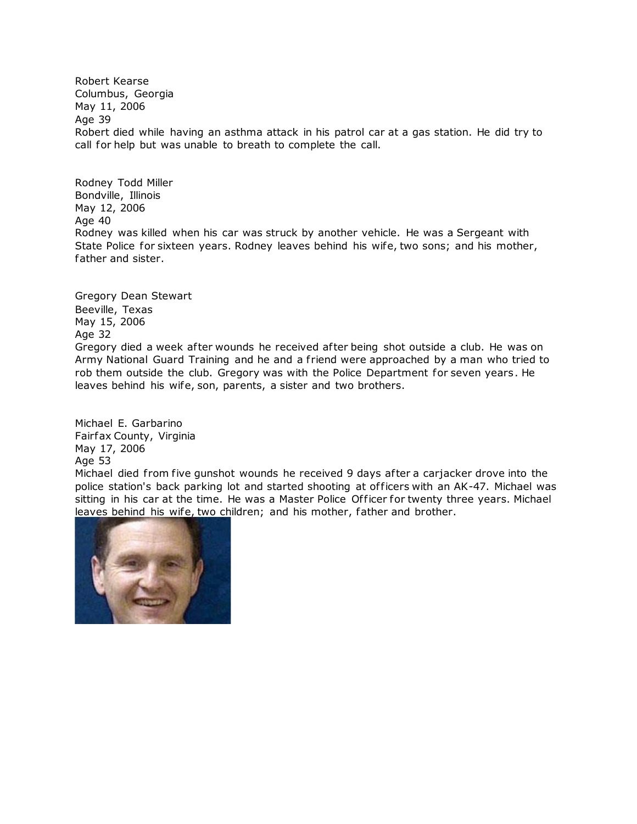Robert Kearse Columbus, Georgia May 11, 2006 Age 39 Robert died while having an asthma attack in his patrol car at a gas station. He did try to call for help but was unable to breath to complete the call.

Rodney Todd Miller Bondville, Illinois May 12, 2006 Age 40 Rodney was killed when his car was struck by another vehicle. He was a Sergeant with State Police for sixteen years. Rodney leaves behind his wife, two sons; and his mother, father and sister.

Gregory Dean Stewart Beeville, Texas May 15, 2006 Age 32 Gregory died a week after wounds he received after being shot outside a club. He was on Army National Guard Training and he and a f riend were approached by a man who tried to rob them outside the club. Gregory was with the Police Department for seven years. He leaves behind his wife, son, parents, a sister and two brothers.

Michael E. Garbarino Fairfax County, Virginia May 17, 2006 Age 53

Michael died from five gunshot wounds he received 9 days after a carjacker drove into the police station's back parking lot and started shooting at of ficers with an AK-47. Michael was sitting in his car at the time. He was a Master Police Officer for twenty three years. Michael [leaves behind his wife, two child](http://www.copadorer.com/memorials/2006.html#thumb)ren; and his mother, father and brother.

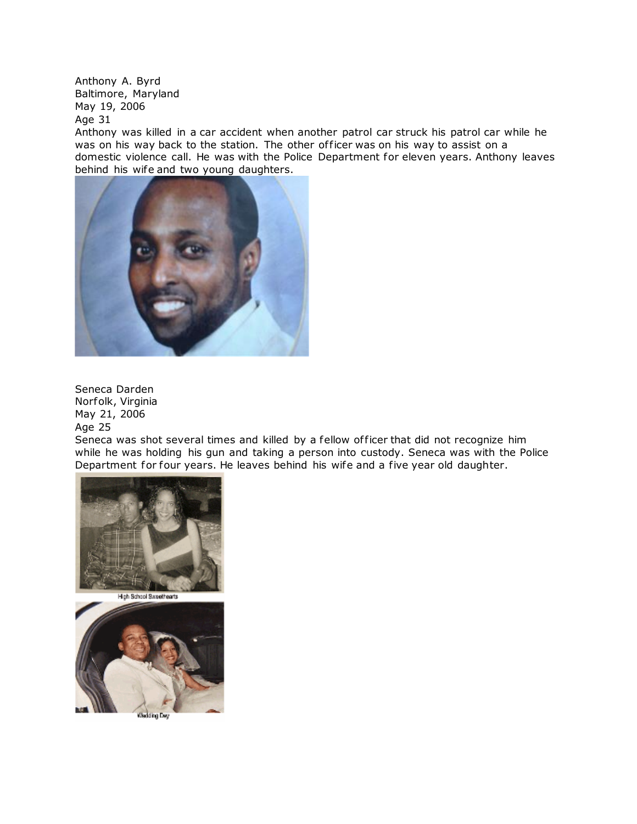Anthony A. Byrd Baltimore, Maryland May 19, 2006

Age 31

Anthony was killed in a car accident when another patrol car struck his patrol car while he was on his way back to the station. The other of ficer was on his way to assist on a domestic violence call. He was with the Police Department for eleven years. Anthony leaves behind his wife and two young daughters.



Seneca Darden Norfolk, Virginia May 21, 2006 Age 25

Seneca was shot several times and killed by a fellow officer that did not recognize him while he was holding his gun and taking a person into custody. Seneca was with the Police Department for four years. He leaves behind his wife and a five year old daughter.





Wedding De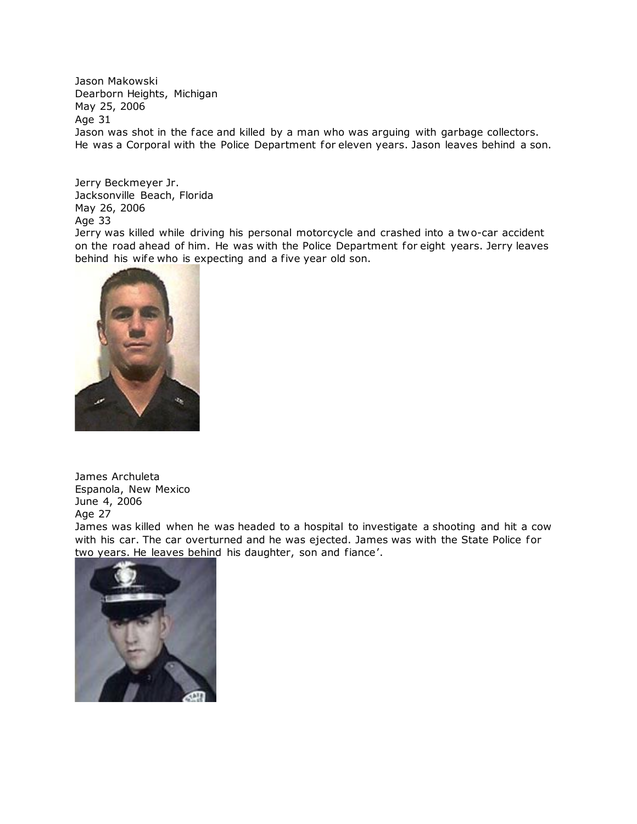Jason Makowski Dearborn Heights, Michigan May 25, 2006 Age 31 Jason was shot in the face and killed by a man who was arguing with garbage collectors. He was a Corporal with the Police Department for eleven years. Jason leaves behind a son.

Jerry Beckmeyer Jr. Jacksonville Beach, Florida May 26, 2006 Age 33

Jerry was killed while driving his personal motorcycle and crashed into a two-car accident on the road ahead of him. He was with the Police Department for eight years. Jerry leaves behind his wife who is expecting and a five year old son.



James Archuleta Espanola, New Mexico June 4, 2006 Age 27

James was killed when he was headed to a hospital to investigate a shooting and hit a cow with his car. The car overturned and he was ejected. James was with the State Police for [two years. He leaves behind h](http://www.copadorer.com/memorials/2006.html#thumb)is daughter, son and fiance'.

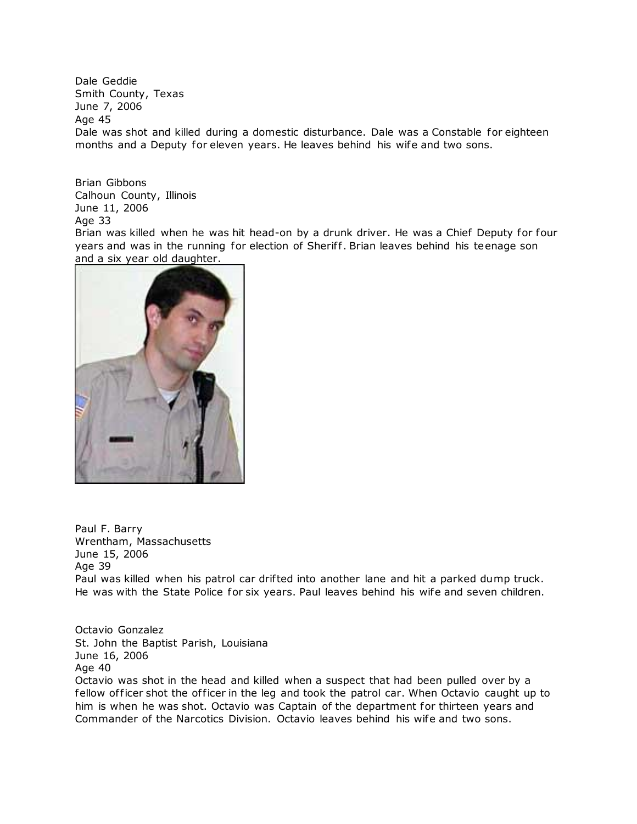Dale Geddie Smith County, Texas June 7, 2006 Age 45 Dale was shot and killed during a domestic disturbance. Dale was a Constable for eighteen months and a Deputy for eleven years. He leaves behind his wife and two sons.

Brian Gibbons Calhoun County, Illinois June 11, 2006 Age 33

Brian was killed when he was hit head-on by a drunk driver. He was a Chief Deputy for four years and was in the running for election of Sheriff. Brian leaves behind his teenage son and a six year old daughter.



Paul F. Barry Wrentham, Massachusetts June 15, 2006 Age 39 Paul was killed when his patrol car drifted into another lane and hit a parked dump truck. He was with the State Police for six years. Paul leaves behind his wife and seven children.

Octavio Gonzalez St. John the Baptist Parish, Louisiana June 16, 2006 Age 40

Octavio was shot in the head and killed when a suspect that had been pulled over by a fellow officer shot the officer in the leg and took the patrol car. When Octavio caught up to him is when he was shot. Octavio was Captain of the department for thirteen years and Commander of the Narcotics Division. Octavio leaves behind his wife and two sons.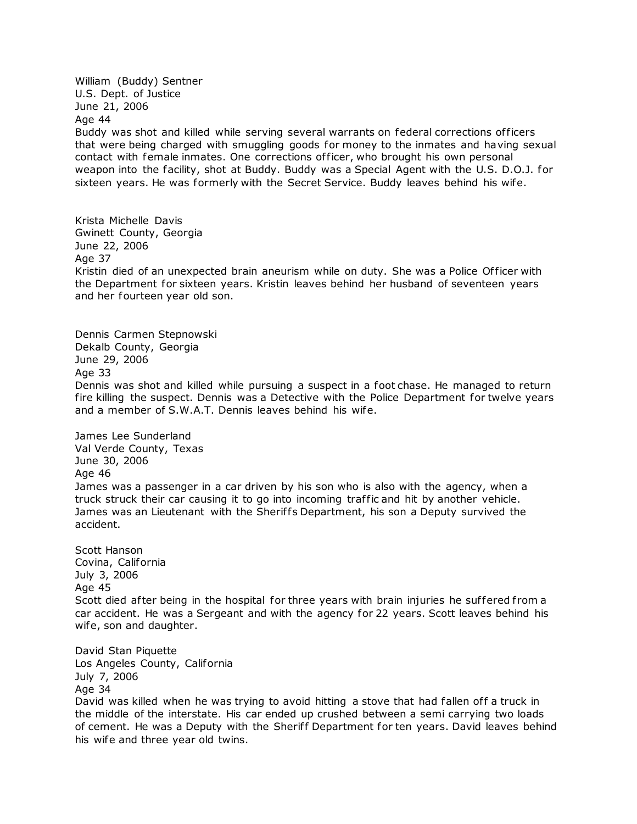William (Buddy) Sentner U.S. Dept. of Justice June 21, 2006 Age 44 Buddy was shot and killed while serving several warrants on federal corrections of ficers that were being charged with smuggling goods for money to the inmates and having sexual contact with female inmates. One corrections of ficer, who brought his own personal weapon into the facility, shot at Buddy. Buddy was a Special Agent with the U.S. D.O.J. for sixteen years. He was formerly with the Secret Service. Buddy leaves behind his wife.

Krista Michelle Davis Gwinett County, Georgia June 22, 2006 Age 37 Kristin died of an unexpected brain aneurism while on duty. She was a Police Officer with the Department for sixteen years. Kristin leaves behind her husband of seventeen years and her fourteen year old son.

Dennis Carmen Stepnowski Dekalb County, Georgia June 29, 2006 Age 33 Dennis was shot and killed while pursuing a suspect in a foot chase. He managed to return fire killing the suspect. Dennis was a Detective with the Police Department for twelve years and a member of S.W.A.T. Dennis leaves behind his wife.

James Lee Sunderland Val Verde County, Texas June 30, 2006 Age 46 James was a passenger in a car driven by his son who is also with the agency, when a truck struck their car causing it to go into incoming traf fic and hit by another vehicle. James was an Lieutenant with the Sheriffs Department, his son a Deputy survived the accident.

Scott Hanson Covina, California July 3, 2006 Age 45 Scott died after being in the hospital for three years with brain injuries he suffered from a car accident. He was a Sergeant and with the agency for 22 years. Scott leaves behind his wife, son and daughter.

David Stan Piquette Los Angeles County, California July 7, 2006 Age 34 David was killed when he was trying to avoid hitting a stove that had fallen off a truck in the middle of the interstate. His car ended up crushed between a semi carrying two loads of cement. He was a Deputy with the Sheriff Department for ten years. David leaves behind his wife and three year old twins.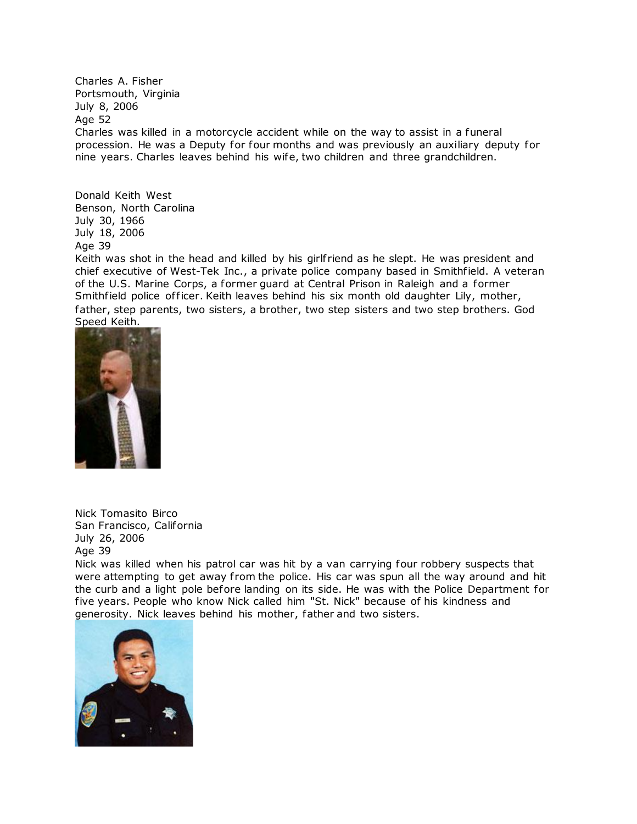Charles A. Fisher Portsmouth, Virginia July 8, 2006 Age 52 Charles was killed in a motorcycle accident while on the way to assist in a funeral procession. He was a Deputy for four months and was previously an auxiliary deputy for nine years. Charles leaves behind his wife, two children and three grandchildren.

Donald Keith West Benson, North Carolina July 30, 1966 July 18, 2006 Age 39

Keith was shot in the head and killed by his girlf riend as he slept. He was president and chief executive of West-Tek Inc., a private police company based in Smithfield. A veteran of the U.S. Marine Corps, a former guard at Central Prison in Raleigh and a former Smithfield police of ficer. Keith leaves behind his six month old daughter Lily, mother, father, step parents, two sisters, a brother, two step sisters and two step brothers. God Speed Keith.



Nick Tomasito Birco San Francisco, California July 26, 2006 Age 39

Nick was killed when his patrol car was hit by a van carrying four robbery suspects that were attempting to get away from the police. His car was spun all the way around and hit the curb and a light pole before landing on its side. He was with the Police Department for five years. People who know Nick called him "St. Nick" because of his kindness and generosity. Nick leaves behind his mother, father and two sisters.

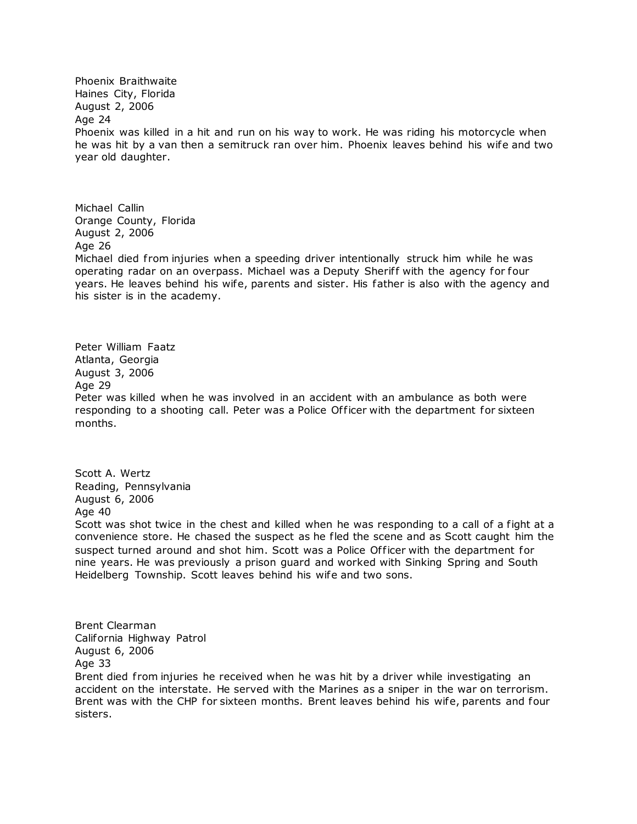Phoenix Braithwaite Haines City, Florida August 2, 2006 Age 24 Phoenix was killed in a hit and run on his way to work. He was riding his motorcycle when he was hit by a van then a semitruck ran over him. Phoenix leaves behind his wife and two year old daughter.

Michael Callin Orange County, Florida August 2, 2006 Age 26 Michael died from injuries when a speeding driver intentionally struck him while he was operating radar on an overpass. Michael was a Deputy Sherif f with the agency for four years. He leaves behind his wife, parents and sister. His father is also with the agency and his sister is in the academy.

Peter William Faatz Atlanta, Georgia August 3, 2006 Age 29 Peter was killed when he was involved in an accident with an ambulance as both were responding to a shooting call. Peter was a Police Of ficer with the department for sixteen months.

Scott A. Wertz Reading, Pennsylvania August 6, 2006 Age 40

Scott was shot twice in the chest and killed when he was responding to a call of a fight at a convenience store. He chased the suspect as he fled the scene and as Scott caught him the suspect turned around and shot him. Scott was a Police Officer with the department for nine years. He was previously a prison guard and worked with Sinking Spring and South Heidelberg Township. Scott leaves behind his wife and two sons.

Brent Clearman California Highway Patrol August 6, 2006 Age 33

Brent died from injuries he received when he was hit by a driver while investigating an accident on the interstate. He served with the Marines as a sniper in the war on terrorism. Brent was with the CHP for sixteen months. Brent leaves behind his wife, parents and four sisters.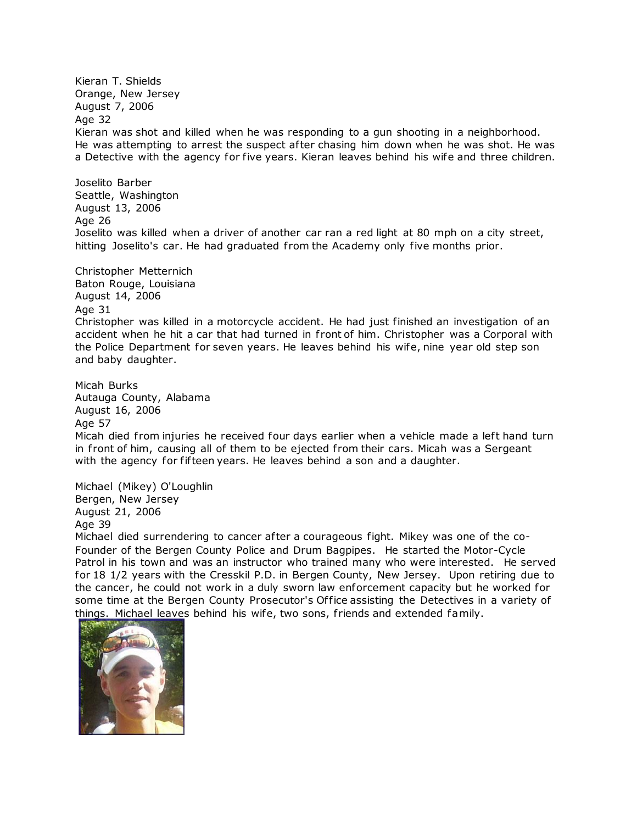Kieran T. Shields Orange, New Jersey August 7, 2006 Age 32 Kieran was shot and killed when he was responding to a gun shooting in a neighborhood. He was attempting to arrest the suspect after chasing him down when he was shot. He was a Detective with the agency for five years. Kieran leaves behind his wife and three children.

Joselito Barber Seattle, Washington August 13, 2006 Age 26 Joselito was killed when a driver of another car ran a red light at 80 mph on a city street, hitting Joselito's car. He had graduated from the Academy only five months prior.

Christopher Metternich

Baton Rouge, Louisiana August 14, 2006

Age 31

Christopher was killed in a motorcycle accident. He had just finished an investigation of an accident when he hit a car that had turned in front of him. Christopher was a Corporal with the Police Department for seven years. He leaves behind his wife, nine year old step son and baby daughter.

Micah Burks Autauga County, Alabama August 16, 2006 Age 57

Micah died from injuries he received four days earlier when a vehicle made a left hand turn in front of him, causing all of them to be ejected from their cars. Micah was a Sergeant with the agency for fifteen years. He leaves behind a son and a daughter.

Michael (Mikey) O'Loughlin Bergen, New Jersey August 21, 2006 Age 39

Michael died surrendering to cancer after a courageous fight. Mikey was one of the co-Founder of the Bergen County Police and Drum Bagpipes. He started the Motor-Cycle Patrol in his town and was an instructor who trained many who were interested. He served for 18 1/2 years with the Cresskil P.D. in Bergen County, New Jersey. Upon retiring due to the cancer, he could not work in a duly sworn law enforcement capacity but he worked for some time at the Bergen County Prosecutor's Office assisting the Detectives in a variety of things. Michael leaves behind his wife, two sons, f riends and extended family.

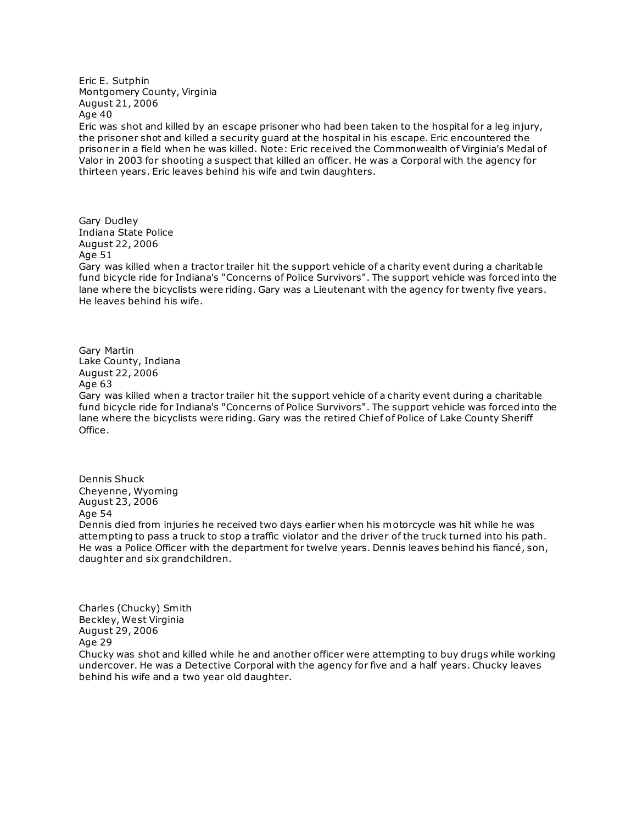Eric E. Sutphin Montgomery County, Virginia August 21, 2006 Age 40

Eric was shot and killed by an escape prisoner who had been taken to the hospital for a leg injury, the prisoner shot and killed a security guard at the hospital in his escape. Eric encountered the prisoner in a field when he was killed. Note: Eric received the Commonwealth of Virginia's Medal of Valor in 2003 for shooting a suspect that killed an officer. He was a Corporal with the agency for thirteen years. Eric leaves behind his wife and twin daughters.

Gary Dudley Indiana State Police August 22, 2006 Age 51

Gary was killed when a tractor trailer hit the support vehicle of a charity event during a charitable fund bicycle ride for Indiana's "Concerns of Police Survivors". The support vehicle was forced into the lane where the bicyclists were riding. Gary was a Lieutenant with the agency for twenty five years. He leaves behind his wife.

Gary Martin Lake County, Indiana August 22, 2006 Age 63

Gary was killed when a tractor trailer hit the support vehicle of a charity event during a charitable fund bicycle ride for Indiana's "Concerns of Police Survivors". The support vehicle was forced into the lane where the bicyclists were riding. Gary was the retired Chief of Police of Lake County Sheriff Office.

Dennis Shuck Cheyenne, Wyoming August 23, 2006 Age 54 Dennis died from injuries he received two days earlier when his motorcycle was hit while he was attempting to pass a truck to stop a traffic violator and the driver of the truck turned into his path. He was a Police Officer with the department for twelve years. Dennis leaves behind his fiancé, son, daughter and six grandchildren.

Charles (Chucky) Smith Beckley, West Virginia August 29, 2006 Age 29

Chucky was shot and killed while he and another officer were attempting to buy drugs while working undercover. He was a Detective Corporal with the agency for five and a half years. Chucky leaves behind his wife and a two year old daughter.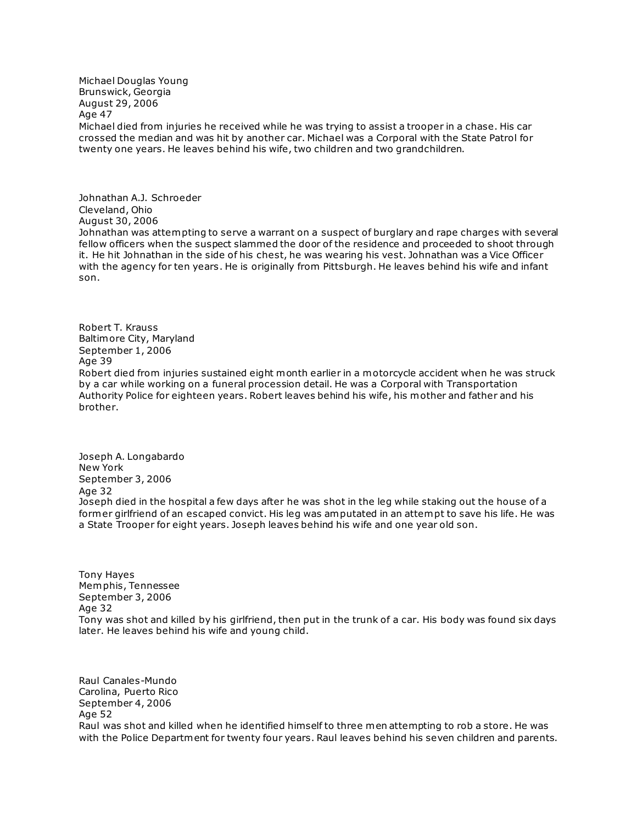Michael Douglas Young Brunswick, Georgia August 29, 2006 Age 47 Michael died from injuries he received while he was trying to assist a trooper in a chase. His car crossed the median and was hit by another car. Michael was a Corporal with the State Patrol for twenty one years. He leaves behind his wife, two children and two grandchildren.

Johnathan A.J. Schroeder Cleveland, Ohio August 30, 2006 Johnathan was attempting to serve a warrant on a suspect of burglary and rape charges with several fellow officers when the suspect slammed the door of the residence and proceeded to shoot through it. He hit Johnathan in the side of his chest, he was wearing his vest. Johnathan was a Vice Officer with the agency for ten years. He is originally from Pittsburgh. He leaves behind his wife and infant son.

Robert T. Krauss Baltimore City, Maryland September 1, 2006 Age 39 Robert died from injuries sustained eight month earlier in a motorcycle accident when he was struck by a car while working on a funeral procession detail. He was a Corporal with Transportation Authority Police for eighteen years. Robert leaves behind his wife, his mother and father and his brother.

Joseph A. Longabardo New York September 3, 2006 Age 32 Joseph died in the hospital a few days after he was shot in the leg while staking out the house of a former girlfriend of an escaped convict. His leg was amputated in an attempt to save his life. He was a State Trooper for eight years. Joseph leaves behind his wife and one year old son.

Tony Hayes Memphis, Tennessee September 3, 2006 Age 32 Tony was shot and killed by his girlfriend, then put in the trunk of a car. His body was found six days later. He leaves behind his wife and young child.

Raul Canales-Mundo Carolina, Puerto Rico September 4, 2006 Age 52 Raul was shot and killed when he identified himself to three men attempting to rob a store. He was with the Police Department for twenty four years. Raul leaves behind his seven children and parents.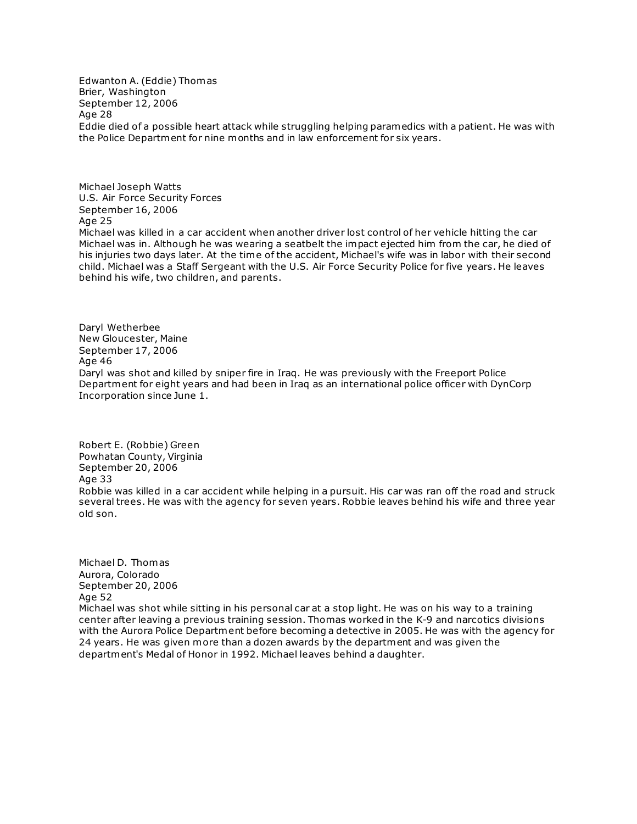Edwanton A. (Eddie) Thomas Brier, Washington September 12, 2006 Age 28 Eddie died of a possible heart attack while struggling helping paramedics with a patient. He was with the Police Department for nine months and in law enforcement for six years.

Michael Joseph Watts U.S. Air Force Security Forces September 16, 2006 Age 25 Michael was killed in a car accident when another driver lost control of her vehicle hitting the car Michael was in. Although he was wearing a seatbelt the impact ejected him from the car, he died of his injuries two days later. At the time of the accident, Michael's wife was in labor with their second child. Michael was a Staff Sergeant with the U.S. Air Force Security Police for five years. He leaves behind his wife, two children, and parents.

Daryl Wetherbee New Gloucester, Maine September 17, 2006 Age 46 Daryl was shot and killed by sniper fire in Iraq. He was previously with the Freeport Police Department for eight years and had been in Iraq as an international police officer with DynCorp Incorporation since June 1.

Robert E. (Robbie) Green Powhatan County, Virginia September 20, 2006 Age 33 Robbie was killed in a car accident while helping in a pursuit. His car was ran off the road and struck several trees. He was with the agency for seven years. Robbie leaves behind his wife and three year old son.

Michael D. Thomas Aurora, Colorado September 20, 2006 Age 52 Michael was shot while sitting in his personal car at a stop light. He was on his way to a training center after leaving a previous training session. Thomas worked in the K-9 and narcotics divisions with the Aurora Police Department before becoming a detective in 2005. He was with the agency for 24 years. He was given more than a dozen awards by the department and was given the department's Medal of Honor in 1992. Michael leaves behind a daughter.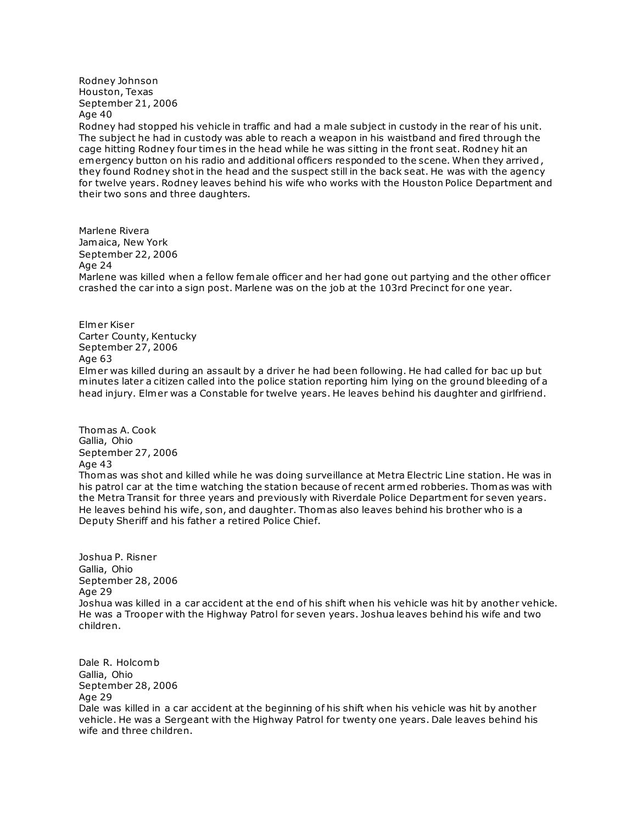Rodney Johnson Houston, Texas September 21, 2006 Age 40

Rodney had stopped his vehicle in traffic and had a male subject in custody in the rear of his unit. The subject he had in custody was able to reach a weapon in his waistband and fired through the cage hitting Rodney four times in the head while he was sitting in the front seat. Rodney hit an emergency button on his radio and additional officers responded to the scene. When they arrived, they found Rodney shot in the head and the suspect still in the back seat. He was with the agency for twelve years. Rodney leaves behind his wife who works with the Houston Police Department and their two sons and three daughters.

Marlene Rivera Jamaica, New York September 22, 2006 Age 24 Marlene was killed when a fellow female officer and her had gone out partying and the other officer crashed the car into a sign post. Marlene was on the job at the 103rd Precinct for one year.

Elmer Kiser Carter County, Kentucky September 27, 2006 Age 63 Elmer was killed during an assault by a driver he had been following. He had called for bac up but minutes later a citizen called into the police station reporting him lying on the ground bleeding of a head injury. Elmer was a Constable for twelve years. He leaves behind his daughter and girlfriend.

Thomas A. Cook Gallia, Ohio September 27, 2006 Age 43 Thomas was shot and killed while he was doing surveillance at Metra Electric Line station. He was in his patrol car at the time watching the station because of recent armed robberies. Thomas was with the Metra Transit for three years and previously with Riverdale Police Department for seven years. He leaves behind his wife, son, and daughter. Thomas also leaves behind his brother who is a Deputy Sheriff and his father a retired Police Chief.

Joshua P. Risner Gallia, Ohio September 28, 2006 Age 29 Joshua was killed in a car accident at the end of his shift when his vehicle was hit by another vehicle. He was a Trooper with the Highway Patrol for seven years. Joshua leaves behind his wife and two children.

Dale R. Holcomb Gallia, Ohio September 28, 2006 Age 29 Dale was killed in a car accident at the beginning of his shift when his vehicle was hit by another vehicle. He was a Sergeant with the Highway Patrol for twenty one years. Dale leaves behind his wife and three children.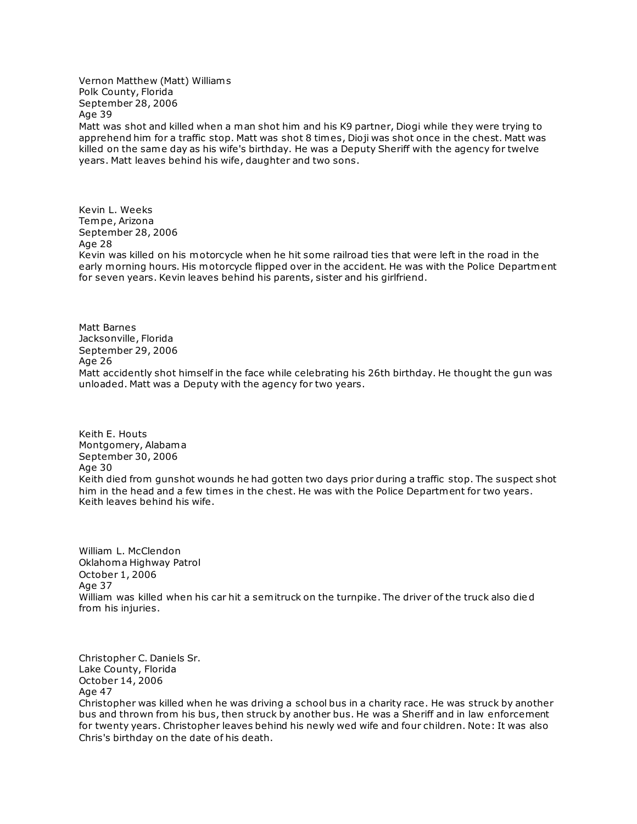Vernon Matthew (Matt) William s Polk County, Florida September 28, 2006 Age 39

Matt was shot and killed when a man shot him and his K9 partner, Diogi while they were trying to apprehend him for a traffic stop. Matt was shot 8 times, Dioji was shot once in the chest. Matt was killed on the same day as his wife's birthday. He was a Deputy Sheriff with the agency for twelve years. Matt leaves behind his wife, daughter and two sons.

Kevin L. Weeks Tempe, Arizona September 28, 2006 Age 28 Kevin was killed on his motorcycle when he hit some railroad ties that were left in the road in the early morning hours. His motorcycle flipped over in the accident. He was with the Police Department for seven years. Kevin leaves behind his parents, sister and his girlfriend.

Matt Barnes Jacksonville, Florida September 29, 2006 Age 26 Matt accidently shot himself in the face while celebrating his 26th birthday. He thought the gun was unloaded. Matt was a Deputy with the agency for two years.

Keith E. Houts Montgomery, Alabama September 30, 2006 Age 30 Keith died from gunshot wounds he had gotten two days prior during a traffic stop. The suspect shot him in the head and a few times in the chest. He was with the Police Department for two years. Keith leaves behind his wife.

William L. McClendon Oklahoma Highway Patrol October 1, 2006 Age 37 William was killed when his car hit a semitruck on the turnpike. The driver of the truck also die d from his injuries.

Christopher C. Daniels Sr. Lake County, Florida October 14, 2006 Age 47 Christopher was killed when he was driving a school bus in a charity race. He was struck by another bus and thrown from his bus, then struck by another bus. He was a Sheriff and in law enforcement for twenty years. Christopher leaves behind his newly wed wife and four children. Note: It was also Chris's birthday on the date of his death.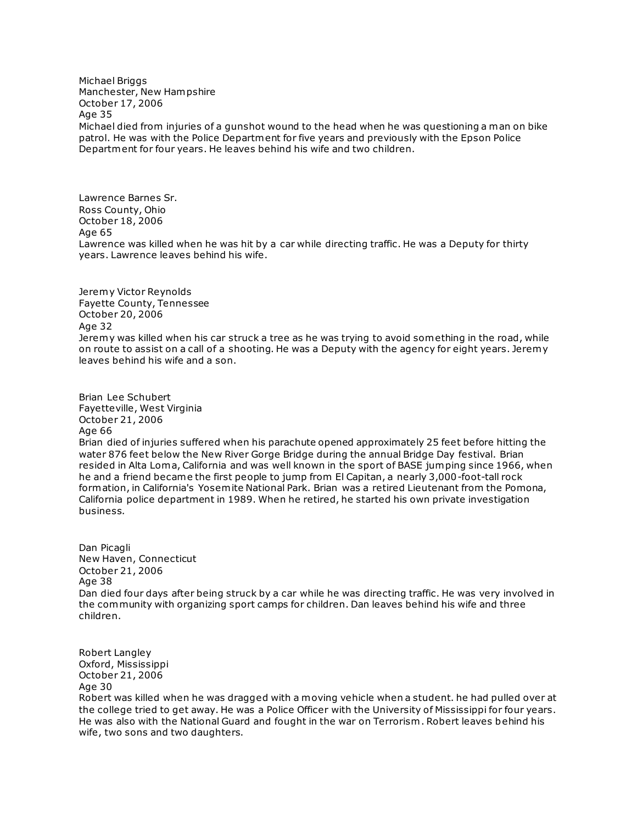Michael Briggs Manchester, New Hampshire October 17, 2006 Age 35 Michael died from injuries of a gunshot wound to the head when he was questioning a man on bike patrol. He was with the Police Department for five years and previously with the Epson Police Department for four years. He leaves behind his wife and two children.

Lawrence Barnes Sr. Ross County, Ohio October 18, 2006 Age 65 Lawrence was killed when he was hit by a car while directing traffic. He was a Deputy for thirty years. Lawrence leaves behind his wife.

Jeremy Victor Reynolds Fayette County, Tennessee October 20, 2006 Age 32 Jeremy was killed when his car struck a tree as he was trying to avoid something in the road, while on route to assist on a call of a shooting. He was a Deputy with the agency for eight years. Jeremy leaves behind his wife and a son.

Brian Lee Schubert Fayetteville, West Virginia October 21, 2006 Age 66 Brian died of injuries suffered when his parachute opened approximately 25 feet before hitting the water 876 feet below the New River Gorge Bridge during the annual Bridge Day festival. Brian resided in Alta Loma, California and was well known in the sport of BASE jumping since 1966, when he and a friend became the first people to jump from El Capitan, a nearly 3,000-foot-tall rock formation, in California's Yosemite National Park. Brian was a retired Lieutenant from the Pomona, California police department in 1989. When he retired, he started his own private investigation business.

Dan Picagli New Haven, Connecticut October 21, 2006 Age 38 Dan died four days after being struck by a car while he was directing traffic. He was very involved in the community with organizing sport camps for children. Dan leaves behind his wife and three children.

Robert Langley Oxford, Mississippi October 21, 2006 Age 30 Robert was killed when he was dragged with a moving vehicle when a student. he had pulled over at the college tried to get away. He was a Police Officer with the University of Mississippi for four years. He was also with the National Guard and fought in the war on Terrorism . Robert leaves behind his wife, two sons and two daughters.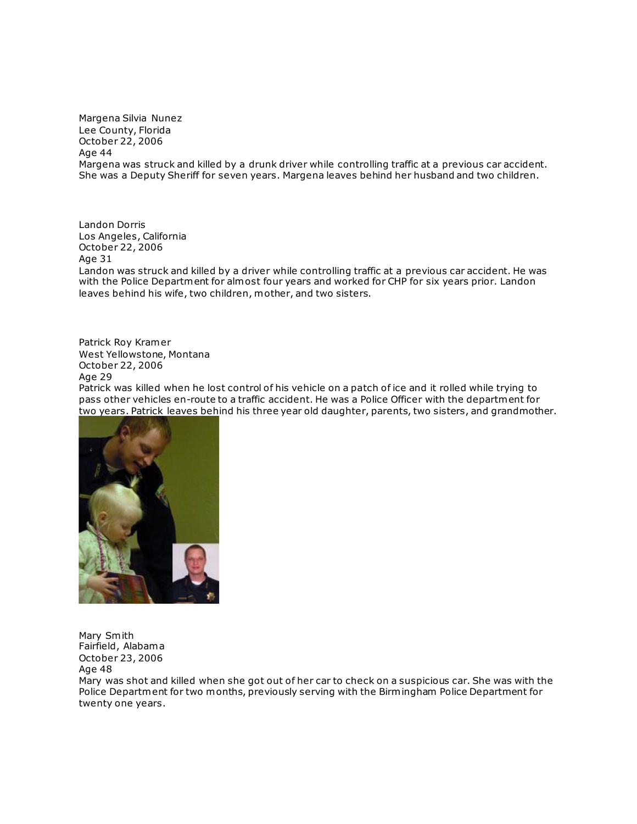Margena Silvia Nunez Lee County, Florida October 22, 2006 Age 44 Margena was struck and killed by a drunk driver while controlling traffic at a previous car accident. She was a Deputy Sheriff for seven years. Margena leaves behind her husband and two children.

Landon Dorris Los Angeles, California October 22, 2006 Age 31 Landon was struck and killed by a driver while controlling traffic at a previous car accident. He was with the Police Department for almost four years and worked for CHP for six years prior. Landon leaves behind his wife, two children, mother, and two sisters.

Patrick Roy Kramer West Yellowstone, Montana October 22, 2006 Age 29 Patrick was killed when he lost control of his vehicle on a patch of ice and it rolled while trying to pass other vehicles en-route to a traffic accident. He was a Police Officer with the department for [two years. Patrick leaves behi](http://www.copadorer.com/memorials/2006.html#thumb)nd his three year old daughter, parents, two sisters, and grandmother.



Mary Smith Fairfield, Alabama October 23, 2006 Age 48

Mary was shot and killed when she got out of her car to check on a suspicious car. She was with the Police Department for two months, previously serving with the Birmingham Police Department for twenty one years.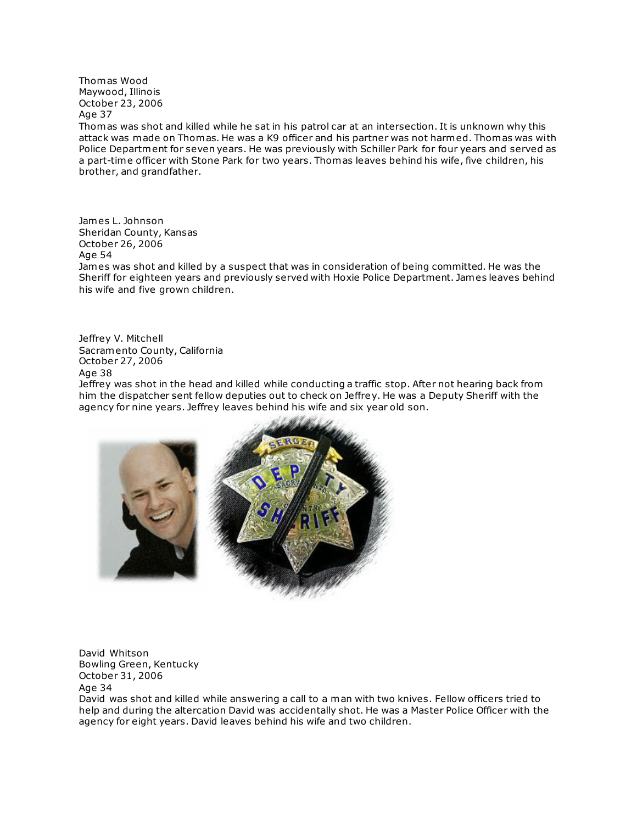Thomas Wood Maywood, Illinois October 23, 2006 Age 37

Thomas was shot and killed while he sat in his patrol car at an intersection. It is unknown why this attack was made on Thomas. He was a K9 officer and his partner was not harmed. Thomas was with Police Department for seven years. He was previously with Schiller Park for four years and served as a part-time officer with Stone Park for two years. Thomas leaves behind his wife, five children, his brother, and grandfather.

James L. Johnson Sheridan County, Kansas October 26, 2006 Age 54

James was shot and killed by a suspect that was in consideration of being committed. He was the Sheriff for eighteen years and previously served with Hoxie Police Department. James leaves behind his wife and five grown children.

Jeffrey V. Mitchell Sacramento County, California October 27, 2006 Age 38 Jeffrey was shot in the head and killed while conducting a traffic stop. After not hearing back from him the dispatcher sent fellow deputies out to check on Jeffrey. He was a Deputy Sheriff with the



David Whitson Bowling Green, Kentucky October 31, 2006 Age 34

David was shot and killed while answering a call to a man with two knives. Fellow officers tried to help and during the altercation David was accidentally shot. He was a Master Police Officer with the agency for eight years. David leaves behind his wife and two children.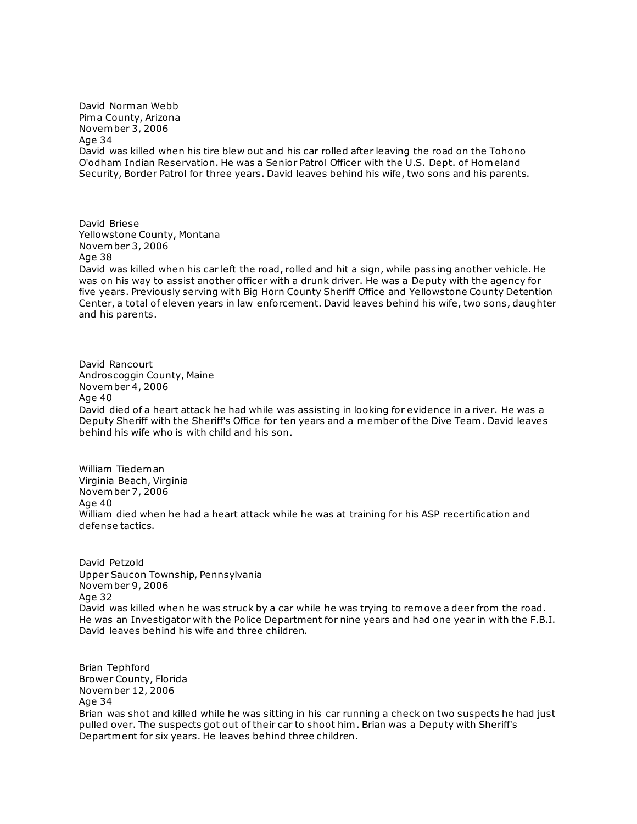David Norman Webb Pima County, Arizona November 3, 2006 Age 34 David was killed when his tire blew out and his car rolled after leaving the road on the Tohono O'odham Indian Reservation. He was a Senior Patrol Officer with the U.S. Dept. of Homeland Security, Border Patrol for three years. David leaves behind his wife, two sons and his parents.

David Briese Yellowstone County, Montana November 3, 2006 Age 38

David was killed when his car left the road, rolled and hit a sign, while pass ing another vehicle. He was on his way to assist another officer with a drunk driver. He was a Deputy with the agency for five years. Previously serving with Big Horn County Sheriff Office and Yellowstone County Detention Center, a total of eleven years in law enforcement. David leaves behind his wife, two sons, daughter and his parents.

David Rancourt Androscoggin County, Maine November 4, 2006 Age 40 David died of a heart attack he had while was assisting in looking for evidence in a river. He was a Deputy Sheriff with the Sheriff's Office for ten years and a member of the Dive Team . David leaves behind his wife who is with child and his son.

William Tiedeman Virginia Beach, Virginia November 7, 2006 Age 40 William died when he had a heart attack while he was at training for his ASP recertification and defense tactics.

David Petzold Upper Saucon Township, Pennsylvania November 9, 2006 Age 32 David was killed when he was struck by a car while he was trying to remove a deer from the road. He was an Investigator with the Police Department for nine years and had one year in with the F.B.I. David leaves behind his wife and three children.

Brian Tephford Brower County, Florida November 12, 2006 Age 34 Brian was shot and killed while he was sitting in his car running a check on two suspects he had just pulled over. The suspects got out of their car to shoot him . Brian was a Deputy with Sheriff's Department for six years. He leaves behind three children.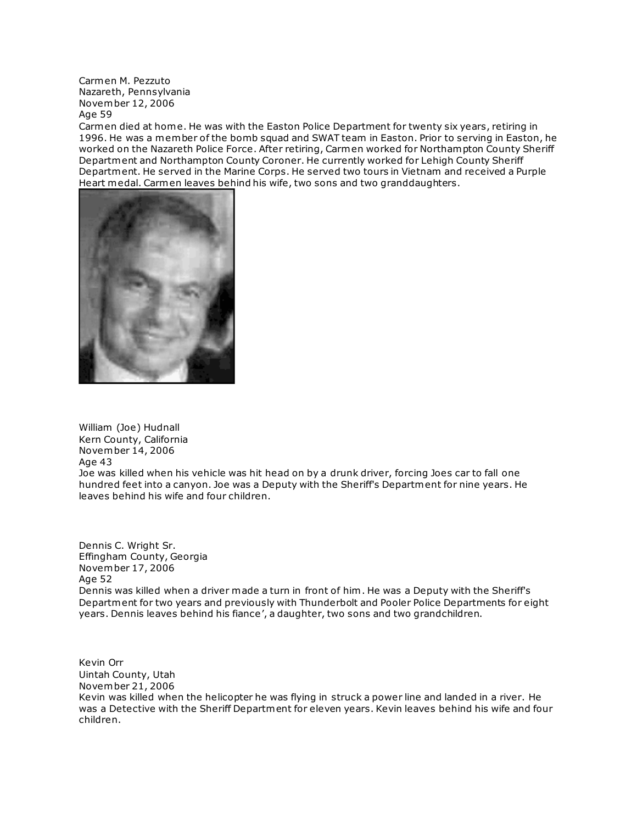Carmen M. Pezzuto Nazareth, Pennsylvania November 12, 2006 Age 59

Carmen died at home. He was with the Easton Police Department for twenty six years, retiring in 1996. He was a member of the bomb squad and SWAT team in Easton. Prior to serving in Easton, he worked on the Nazareth Police Force. After retiring, Carmen worked for Northampton County Sheriff Department and Northampton County Coroner. He currently worked for Lehigh County Sheriff Department. He served in the Marine Corps. He served two tours in Vietnam and received a Purple Heart medal. Carmen leaves behind his wife, two sons and two granddaughters.



William (Joe) Hudnall Kern County, California November 14, 2006 Age 43

Joe was killed when his vehicle was hit head on by a drunk driver, forcing Joes car to fall one hundred feet into a canyon. Joe was a Deputy with the Sheriff's Department for nine years. He leaves behind his wife and four children.

Dennis C. Wright Sr. Effingham County, Georgia November 17, 2006 Age 52 Dennis was killed when a driver made a turn in front of him . He was a Deputy with the Sheriff's Department for two years and previously with Thunderbolt and Pooler Police Departments for eight years. Dennis leaves behind his fiance', a daughter, two sons and two grandchildren.

Kevin Orr Uintah County, Utah November 21, 2006 Kevin was killed when the helicopter he was flying in struck a power line and landed in a river. He was a Detective with the Sheriff Department for eleven years. Kevin leaves behind his wife and four children.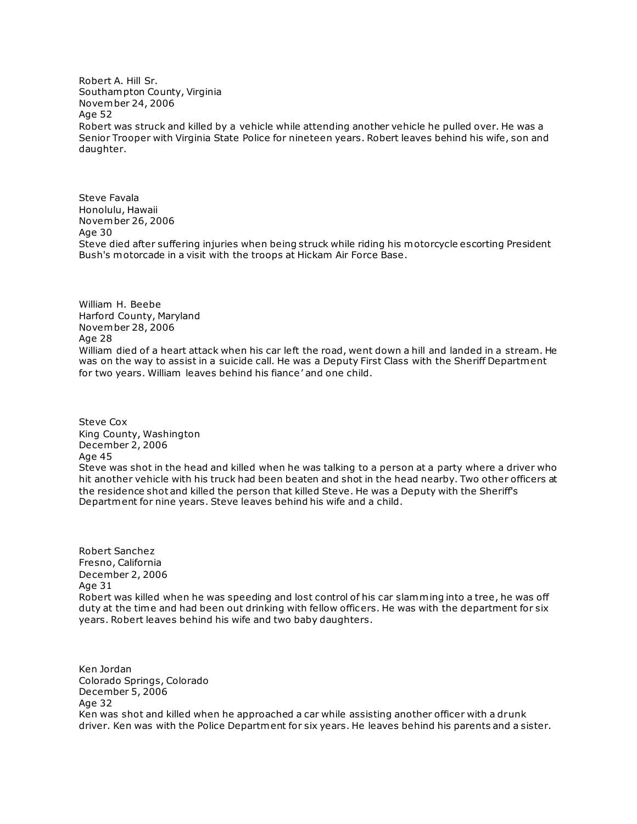Robert A. Hill Sr. Southampton County, Virginia November 24, 2006 Age 52 Robert was struck and killed by a vehicle while attending another vehicle he pulled over. He was a Senior Trooper with Virginia State Police for nineteen years. Robert leaves behind his wife, son and daughter.

Steve Favala Honolulu, Hawaii November 26, 2006 Age 30 Steve died after suffering injuries when being struck while riding his motorcycle escorting President Bush's motorcade in a visit with the troops at Hickam Air Force Base.

William H. Beebe Harford County, Maryland November 28, 2006 Age 28 William died of a heart attack when his car left the road, went down a hill and landed in a stream. He was on the way to assist in a suicide call. He was a Deputy First Class with the Sheriff Department for two years. William leaves behind his fiance' and one child.

Steve Cox King County, Washington December 2, 2006 Age 45 Steve was shot in the head and killed when he was talking to a person at a party where a driver who hit another vehicle with his truck had been beaten and shot in the head nearby. Two other officers at the residence shot and killed the person that killed Steve. He was a Deputy with the Sheriff's Department for nine years. Steve leaves behind his wife and a child.

Robert Sanchez Fresno, California December 2, 2006 Age 31 Robert was killed when he was speeding and lost control of his car slamming into a tree, he was off duty at the time and had been out drinking with fellow officers. He was with the department for six years. Robert leaves behind his wife and two baby daughters.

Ken Jordan Colorado Springs, Colorado December 5, 2006 Age 32 Ken was shot and killed when he approached a car while assisting another officer with a drunk driver. Ken was with the Police Department for six years. He leaves behind his parents and a sister.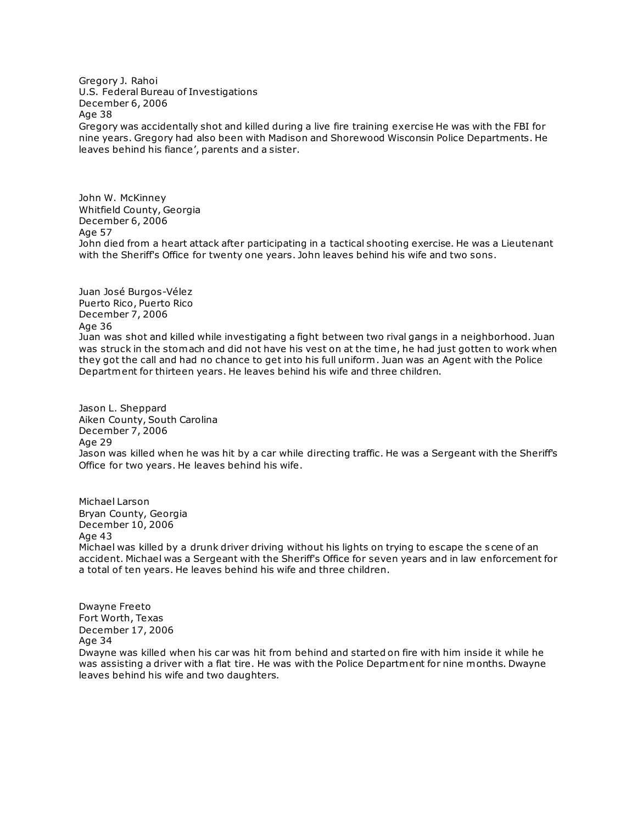Gregory J. Rahoi U.S. Federal Bureau of Investigations December 6, 2006 Age 38 Gregory was accidentally shot and killed during a live fire training exercise He was with the FBI for nine years. Gregory had also been with Madison and Shorewood Wisconsin Police Departments. He leaves behind his fiance', parents and a sister.

John W. McKinney Whitfield County, Georgia December 6, 2006 Age 57 John died from a heart attack after participating in a tactical shooting exercise. He was a Lieutenant with the Sheriff's Office for twenty one years. John leaves behind his wife and two sons.

Juan José Burgos-Vélez Puerto Rico, Puerto Rico December 7, 2006 Age 36 Juan was shot and killed while investigating a fight between two rival gangs in a neighborhood. Juan was struck in the stomach and did not have his vest on at the time, he had just gotten to work when they got the call and had no chance to get into his full uniform . Juan was an Agent with the Police Department for thirteen years. He leaves behind his wife and three children.

Jason L. Sheppard Aiken County, South Carolina December 7, 2006 Age 29 Jason was killed when he was hit by a car while directing traffic. He was a Sergeant with the Sheriff's Office for two years. He leaves behind his wife.

Michael Larson Bryan County, Georgia December 10, 2006 Age 43 Michael was killed by a drunk driver driving without his lights on trying to escape the s cene of an accident. Michael was a Sergeant with the Sheriff's Office for seven years and in law enforcement for a total of ten years. He leaves behind his wife and three children.

Dwayne Freeto Fort Worth, Texas December 17, 2006 Age 34 Dwayne was killed when his car was hit from behind and started on fire with him inside it while he was assisting a driver with a flat tire. He was with the Police Department for nine months. Dwayne leaves behind his wife and two daughters.